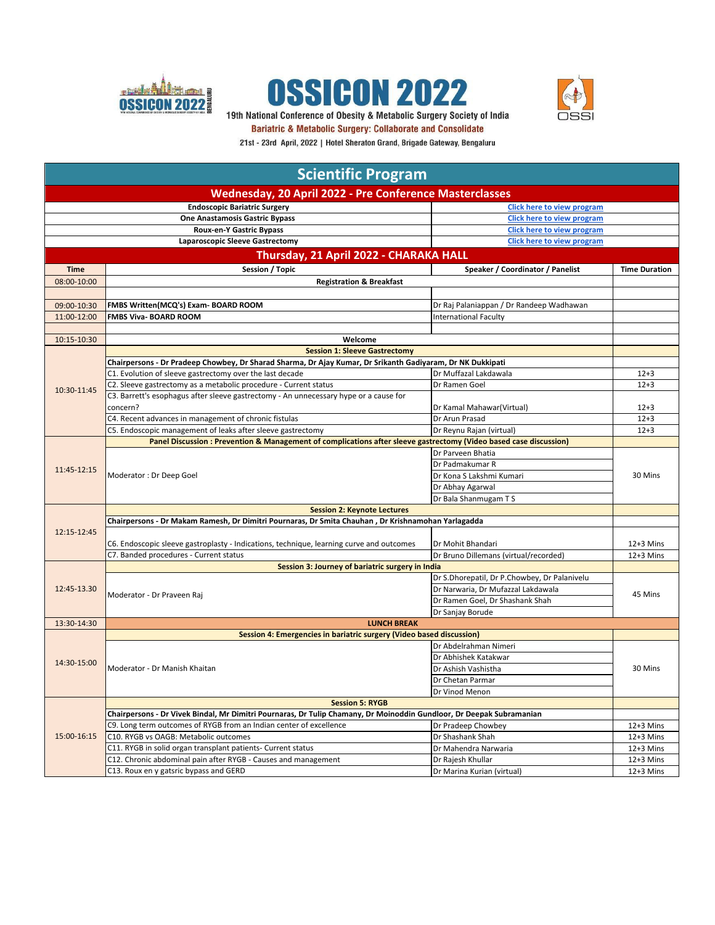





19th National Conference of Obesity & Metabolic Surgery Society of India **Bariatric & Metabolic Surgery: Collaborate and Consolidate** 

| <u>marrante</u> a motorent cargo, ji comarciato ana concontrato            |
|----------------------------------------------------------------------------|
| 21st - 23rd April, 2022   Hotel Sheraton Grand, Brigade Gateway, Bengaluru |

| <b>Scientific Program</b>                                     |                                                                                                                      |                                              |                      |
|---------------------------------------------------------------|----------------------------------------------------------------------------------------------------------------------|----------------------------------------------|----------------------|
|                                                               | Wednesday, 20 April 2022 - Pre Conference Masterclasses                                                              |                                              |                      |
|                                                               | <b>Endoscopic Bariatric Surgery</b>                                                                                  | Click here to view program                   |                      |
|                                                               | <b>One Anastamosis Gastric Bypass</b><br><b>Click here to view program</b>                                           |                                              |                      |
| Roux-en-Y Gastric Bypass<br><b>Click here to view program</b> |                                                                                                                      |                                              |                      |
|                                                               | Laparoscopic Sleeve Gastrectomy                                                                                      | <b>Click here to view program</b>            |                      |
|                                                               | Thursday, 21 April 2022 - CHARAKA HALL                                                                               |                                              |                      |
| Time                                                          | Session / Topic                                                                                                      | Speaker / Coordinator / Panelist             | <b>Time Duration</b> |
| 08:00-10:00                                                   | <b>Registration &amp; Breakfast</b>                                                                                  |                                              |                      |
|                                                               |                                                                                                                      |                                              |                      |
| 09:00-10:30                                                   | FMBS Written(MCQ's) Exam- BOARD ROOM                                                                                 | Dr Raj Palaniappan / Dr Randeep Wadhawan     |                      |
| 11:00-12:00                                                   | FMBS Viva- BOARD ROOM                                                                                                | <b>International Faculty</b>                 |                      |
|                                                               |                                                                                                                      |                                              |                      |
| 10:15-10:30                                                   | Welcome                                                                                                              |                                              |                      |
|                                                               | <b>Session 1: Sleeve Gastrectomy</b>                                                                                 |                                              |                      |
|                                                               | Chairpersons - Dr Pradeep Chowbey, Dr Sharad Sharma, Dr Ajay Kumar, Dr Srikanth Gadiyaram, Dr NK Dukkipati           |                                              |                      |
|                                                               | C1. Evolution of sleeve gastrectomy over the last decade                                                             | Dr Muffazal Lakdawala                        | $12 + 3$             |
|                                                               | C2. Sleeve gastrectomy as a metabolic procedure - Current status                                                     | Dr Ramen Goel                                | $12 + 3$             |
| 10:30-11:45                                                   | C3. Barrett's esophagus after sleeve gastrectomy - An unnecessary hype or a cause for                                |                                              |                      |
|                                                               | concern?                                                                                                             | Dr Kamal Mahawar(Virtual)                    | $12 + 3$             |
|                                                               | C4. Recent advances in management of chronic fistulas                                                                | Dr Arun Prasad                               | $12 + 3$             |
|                                                               | C5. Endoscopic management of leaks after sleeve gastrectomy                                                          | Dr Reynu Rajan (virtual)                     | $12 + 3$             |
|                                                               | Panel Discussion : Prevention & Management of complications after sleeve gastrectomy (Video based case discussion)   |                                              |                      |
|                                                               |                                                                                                                      | Dr Parveen Bhatia                            |                      |
|                                                               |                                                                                                                      | Dr Padmakumar R                              |                      |
| 11:45-12:15                                                   | Moderator: Dr Deep Goel                                                                                              | Dr Kona S Lakshmi Kumari                     | 30 Mins              |
|                                                               |                                                                                                                      | Dr Abhay Agarwal                             |                      |
|                                                               |                                                                                                                      | Dr Bala Shanmugam T S                        |                      |
|                                                               | <b>Session 2: Keynote Lectures</b>                                                                                   |                                              |                      |
|                                                               | Chairpersons - Dr Makam Ramesh, Dr Dimitri Pournaras, Dr Smita Chauhan, Dr Krishnamohan Yarlagadda                   |                                              |                      |
| 12:15-12:45                                                   |                                                                                                                      |                                              |                      |
|                                                               | C6. Endoscopic sleeve gastroplasty - Indications, technique, learning curve and outcomes                             | Dr Mohit Bhandari                            | $12+3$ Mins          |
|                                                               | C7. Banded procedures - Current status                                                                               | Dr Bruno Dillemans (virtual/recorded)        | $12+3$ Mins          |
|                                                               | Session 3: Journey of bariatric surgery in India                                                                     |                                              |                      |
|                                                               |                                                                                                                      | Dr S.Dhorepatil, Dr P.Chowbey, Dr Palanivelu |                      |
| 12:45-13.30                                                   | Moderator - Dr Praveen Raj                                                                                           | Dr Narwaria, Dr Mufazzal Lakdawala           | 45 Mins              |
|                                                               |                                                                                                                      | Dr Ramen Goel, Dr Shashank Shah              |                      |
|                                                               |                                                                                                                      | Dr Sanjay Borude                             |                      |
| 13:30-14:30                                                   | <b>LUNCH BREAK</b>                                                                                                   |                                              |                      |
|                                                               | Session 4: Emergencies in bariatric surgery (Video based discussion)                                                 |                                              |                      |
|                                                               |                                                                                                                      | Dr Abdelrahman Nimeri                        |                      |
| 14:30-15:00                                                   |                                                                                                                      | Dr Abhishek Katakwar                         | 30 Mins              |
|                                                               | Moderator - Dr Manish Khaitan                                                                                        | Dr Ashish Vashistha                          |                      |
|                                                               |                                                                                                                      | Dr Chetan Parmar                             |                      |
|                                                               |                                                                                                                      | Dr Vinod Menon                               |                      |
|                                                               | <b>Session 5: RYGB</b>                                                                                               |                                              |                      |
|                                                               | Chairpersons - Dr Vivek Bindal, Mr Dimitri Pournaras, Dr Tulip Chamany, Dr Moinoddin Gundloor, Dr Deepak Subramanian |                                              |                      |
|                                                               | C9. Long term outcomes of RYGB from an Indian center of excellence                                                   | Dr Pradeep Chowbey                           | 12+3 Mins            |
| 15:00-16:15                                                   | C10. RYGB vs OAGB: Metabolic outcomes                                                                                | Dr Shashank Shah                             | $12+3$ Mins          |
|                                                               | C11. RYGB in solid organ transplant patients- Current status                                                         | Dr Mahendra Narwaria                         | $12+3$ Mins          |
|                                                               | C12. Chronic abdominal pain after RYGB - Causes and management                                                       | Dr Rajesh Khullar                            | $12+3$ Mins          |
|                                                               | C13. Roux en y gatsric bypass and GERD                                                                               | Dr Marina Kurian (virtual)                   | $12+3$ Mins          |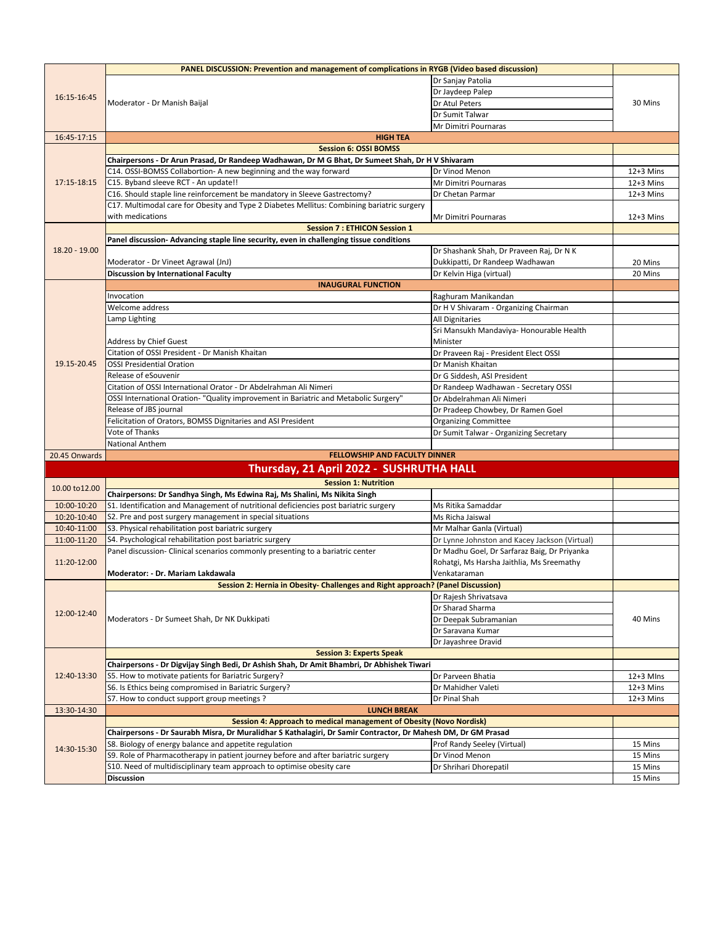|                            | PANEL DISCUSSION: Prevention and management of complications in RYGB (Video based discussion)                   |                                               |                          |  |  |
|----------------------------|-----------------------------------------------------------------------------------------------------------------|-----------------------------------------------|--------------------------|--|--|
| 16:15-16:45                |                                                                                                                 | Dr Sanjay Patolia                             |                          |  |  |
|                            |                                                                                                                 | Dr Jaydeep Palep                              |                          |  |  |
|                            | Moderator - Dr Manish Baijal                                                                                    | Dr Atul Peters                                | 30 Mins                  |  |  |
|                            |                                                                                                                 | Dr Sumit Talwar                               |                          |  |  |
|                            |                                                                                                                 | Mr Dimitri Pournaras                          |                          |  |  |
| 16:45-17:15                | <b>HIGH TEA</b>                                                                                                 |                                               |                          |  |  |
|                            | <b>Session 6: OSSI BOMSS</b>                                                                                    |                                               |                          |  |  |
|                            | Chairpersons - Dr Arun Prasad, Dr Randeep Wadhawan, Dr M G Bhat, Dr Sumeet Shah, Dr H V Shivaram                |                                               |                          |  |  |
|                            | C14. OSSI-BOMSS Collabortion- A new beginning and the way forward                                               | Dr Vinod Menon                                | $12+3$ Mins              |  |  |
| 17:15-18:15                | C15. Byband sleeve RCT - An update!!                                                                            | Mr Dimitri Pournaras                          | $12+3$ Mins              |  |  |
|                            | C16. Should staple line reinforcement be mandatory in Sleeve Gastrectomy?                                       | Dr Chetan Parmar                              | 12+3 Mins                |  |  |
|                            | C17. Multimodal care for Obesity and Type 2 Diabetes Mellitus: Combining bariatric surgery                      |                                               |                          |  |  |
|                            | with medications                                                                                                | Mr Dimitri Pournaras                          | $12+3$ Mins              |  |  |
|                            | <b>Session 7: ETHICON Session 1</b>                                                                             |                                               |                          |  |  |
|                            | Panel discussion- Advancing staple line security, even in challenging tissue conditions                         |                                               |                          |  |  |
| 18.20 - 19.00              |                                                                                                                 | Dr Shashank Shah, Dr Praveen Raj, Dr N K      |                          |  |  |
|                            | Moderator - Dr Vineet Agrawal (JnJ)                                                                             | Dukkipatti, Dr Randeep Wadhawan               | 20 Mins                  |  |  |
|                            | Discussion by International Faculty                                                                             | Dr Kelvin Higa (virtual)                      | 20 Mins                  |  |  |
|                            | <b>INAUGURAL FUNCTION</b>                                                                                       |                                               |                          |  |  |
|                            | Invocation                                                                                                      | Raghuram Manikandan                           |                          |  |  |
|                            | Welcome address                                                                                                 | Dr H V Shivaram - Organizing Chairman         |                          |  |  |
|                            | Lamp Lighting                                                                                                   | <b>All Dignitaries</b>                        |                          |  |  |
|                            |                                                                                                                 | Sri Mansukh Mandaviya- Honourable Health      |                          |  |  |
|                            | Address by Chief Guest                                                                                          | Minister                                      |                          |  |  |
|                            | Citation of OSSI President - Dr Manish Khaitan                                                                  | Dr Praveen Raj - President Elect OSSI         |                          |  |  |
| 19.15-20.45                | <b>OSSI Presidential Oration</b>                                                                                | Dr Manish Khaitan                             |                          |  |  |
|                            | Release of eSouvenir                                                                                            | Dr G Siddesh, ASI President                   |                          |  |  |
|                            | Citation of OSSI International Orator - Dr Abdelrahman Ali Nimeri                                               | Dr Randeep Wadhawan - Secretary OSSI          |                          |  |  |
|                            | OSSI International Oration- "Quality improvement in Bariatric and Metabolic Surgery"                            | Dr Abdelrahman Ali Nimeri                     |                          |  |  |
|                            | Release of JBS journal                                                                                          | Dr Pradeep Chowbey, Dr Ramen Goel             |                          |  |  |
|                            | Felicitation of Orators, BOMSS Dignitaries and ASI President                                                    | <b>Organizing Committee</b>                   |                          |  |  |
|                            | Vote of Thanks                                                                                                  | Dr Sumit Talwar - Organizing Secretary        |                          |  |  |
|                            | <b>National Anthem</b>                                                                                          |                                               |                          |  |  |
| 20.45 Onwards              | <b>FELLOWSHIP AND FACULTY DINNER</b>                                                                            |                                               |                          |  |  |
|                            | Thursday, 21 April 2022 - SUSHRUTHA HALL                                                                        |                                               |                          |  |  |
|                            |                                                                                                                 |                                               |                          |  |  |
| 10.00 to 12.00             | <b>Session 1: Nutrition</b>                                                                                     |                                               |                          |  |  |
|                            | Chairpersons: Dr Sandhya Singh, Ms Edwina Raj, Ms Shalini, Ms Nikita Singh                                      |                                               |                          |  |  |
| 10:00-10:20                | S1. Identification and Management of nutritional deficiencies post bariatric surgery                            | Ms Ritika Samaddar                            |                          |  |  |
| 10:20-10:40                | S2. Pre and post surgery management in special situations<br>S3. Physical rehabilitation post bariatric surgery | Ms Richa Jaiswal                              |                          |  |  |
| 10:40-11:00<br>11:00-11:20 |                                                                                                                 | Mr Malhar Ganla (Virtual)                     |                          |  |  |
|                            | S4. Psychological rehabilitation post bariatric surgery                                                         | Dr Lynne Johnston and Kacey Jackson (Virtual) |                          |  |  |
|                            | Panel discussion- Clinical scenarios commonly presenting to a bariatric center                                  | Dr Madhu Goel, Dr Sarfaraz Baig, Dr Priyanka  |                          |  |  |
| 11:20-12:00                | Moderator: - Dr. Mariam Lakdawala                                                                               | Rohatgi, Ms Harsha Jaithlia, Ms Sreemathy     |                          |  |  |
|                            | Session 2: Hernia in Obesity- Challenges and Right approach? (Panel Discussion)                                 | Venkataraman                                  |                          |  |  |
|                            |                                                                                                                 |                                               |                          |  |  |
|                            |                                                                                                                 | Dr Rajesh Shrivatsava                         |                          |  |  |
| 12:00-12:40                |                                                                                                                 | Dr Sharad Sharma                              | 40 Mins                  |  |  |
|                            | Moderators - Dr Sumeet Shah, Dr NK Dukkipati                                                                    | Dr Deepak Subramanian                         |                          |  |  |
|                            |                                                                                                                 | Dr Saravana Kumar                             |                          |  |  |
|                            | <b>Session 3: Experts Speak</b>                                                                                 | Dr Jayashree Dravid                           |                          |  |  |
|                            | Chairpersons - Dr Digvijay Singh Bedi, Dr Ashish Shah, Dr Amit Bhambri, Dr Abhishek Tiwari                      |                                               |                          |  |  |
| 12:40-13:30                | S5. How to motivate patients for Bariatric Surgery?                                                             | Dr Parveen Bhatia                             | 12+3 MIns                |  |  |
|                            |                                                                                                                 | Dr Mahidher Valeti                            |                          |  |  |
|                            | S6. Is Ethics being compromised in Bariatric Surgery?<br>S7. How to conduct support group meetings?             | Dr Pinal Shah                                 | $12+3$ Mins<br>12+3 Mins |  |  |
| 13:30-14:30                | <b>LUNCH BREAK</b>                                                                                              |                                               |                          |  |  |
|                            | Session 4: Approach to medical management of Obesity (Novo Nordisk)                                             |                                               |                          |  |  |
|                            | Chairpersons - Dr Saurabh Misra, Dr Muralidhar S Kathalagiri, Dr Samir Contractor, Dr Mahesh DM, Dr GM Prasad   |                                               |                          |  |  |
|                            |                                                                                                                 |                                               |                          |  |  |
| 14:30-15:30                |                                                                                                                 |                                               |                          |  |  |
|                            | S8. Biology of energy balance and appetite regulation                                                           | Prof Randy Seeley (Virtual)                   | 15 Mins                  |  |  |
|                            | S9. Role of Pharmacotherapy in patient journey before and after bariatric surgery                               | Dr Vinod Menon                                | 15 Mins                  |  |  |
|                            | S10. Need of multidisciplinary team approach to optimise obesity care<br><b>Discussion</b>                      | Dr Shrihari Dhorepatil                        | 15 Mins<br>15 Mins       |  |  |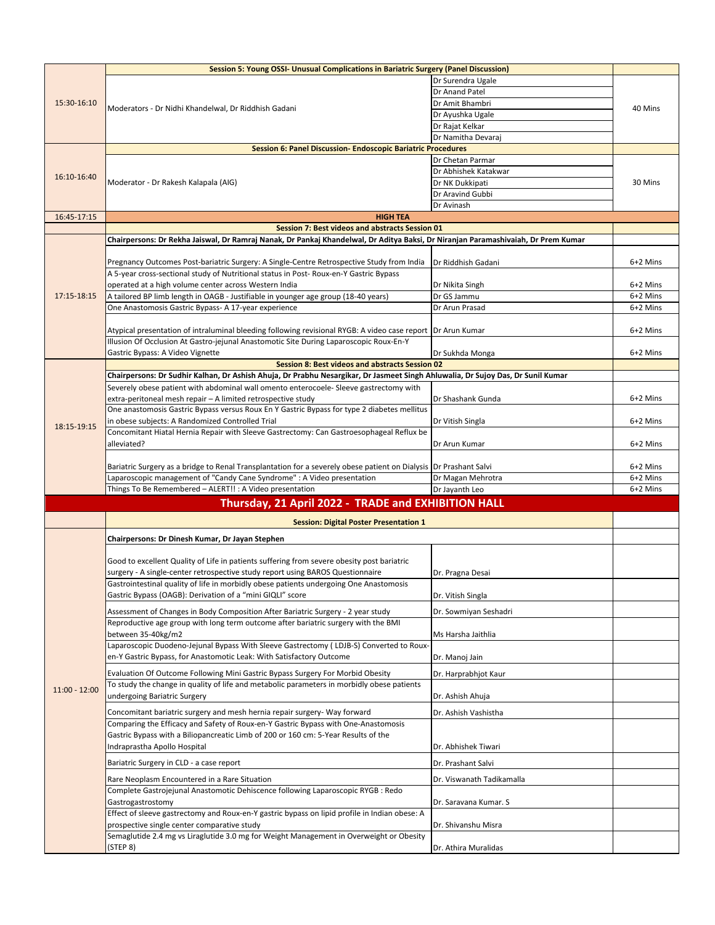|                 | Session 5: Young OSSI- Unusual Complications in Bariatric Surgery (Panel Discussion)                                              |                           |          |
|-----------------|-----------------------------------------------------------------------------------------------------------------------------------|---------------------------|----------|
| 15:30-16:10     |                                                                                                                                   | Dr Surendra Ugale         |          |
|                 |                                                                                                                                   | Dr Anand Patel            |          |
|                 |                                                                                                                                   | Dr Amit Bhambri           |          |
|                 | Moderators - Dr Nidhi Khandelwal, Dr Riddhish Gadani                                                                              | Dr Ayushka Ugale          | 40 Mins  |
|                 |                                                                                                                                   | Dr Rajat Kelkar           |          |
|                 |                                                                                                                                   | Dr Namitha Devaraj        |          |
|                 | Session 6: Panel Discussion- Endoscopic Bariatric Procedures                                                                      |                           |          |
|                 |                                                                                                                                   | Dr Chetan Parmar          |          |
|                 |                                                                                                                                   | Dr Abhishek Katakwar      |          |
| 16:10-16:40     | Moderator - Dr Rakesh Kalapala (AIG)                                                                                              | Dr NK Dukkipati           | 30 Mins  |
|                 |                                                                                                                                   | Dr Aravind Gubbi          |          |
|                 |                                                                                                                                   | Dr Avinash                |          |
| 16:45-17:15     | <b>HIGH TEA</b>                                                                                                                   |                           |          |
|                 | Session 7: Best videos and abstracts Session 01                                                                                   |                           |          |
|                 | Chairpersons: Dr Rekha Jaiswal, Dr Ramraj Nanak, Dr Pankaj Khandelwal, Dr Aditya Baksi, Dr Niranjan Paramashivaiah, Dr Prem Kumar |                           |          |
|                 |                                                                                                                                   |                           |          |
|                 | Pregnancy Outcomes Post-bariatric Surgery: A Single-Centre Retrospective Study from India                                         | Dr Riddhish Gadani        | 6+2 Mins |
|                 | A 5-year cross-sectional study of Nutritional status in Post-Roux-en-Y Gastric Bypass                                             |                           |          |
|                 | operated at a high volume center across Western India                                                                             | Dr Nikita Singh           | 6+2 Mins |
| 17:15-18:15     | A tailored BP limb length in OAGB - Justifiable in younger age group (18-40 years)                                                | Dr GS Jammu               | 6+2 Mins |
|                 | One Anastomosis Gastric Bypass- A 17-year experience                                                                              | Dr Arun Prasad            | 6+2 Mins |
|                 |                                                                                                                                   |                           |          |
|                 | Atypical presentation of intraluminal bleeding following revisional RYGB: A video case report Dr Arun Kumar                       |                           | 6+2 Mins |
|                 | Illusion Of Occlusion At Gastro-jejunal Anastomotic Site During Laparoscopic Roux-En-Y                                            |                           |          |
|                 | Gastric Bypass: A Video Vignette                                                                                                  | Dr Sukhda Monga           | 6+2 Mins |
|                 | Session 8: Best videos and abstracts Session 02                                                                                   |                           |          |
|                 | Chairpersons: Dr Sudhir Kalhan, Dr Ashish Ahuja, Dr Prabhu Nesargikar, Dr Jasmeet Singh Ahluwalia, Dr Sujoy Das, Dr Sunil Kumar   |                           |          |
|                 | Severely obese patient with abdominal wall omento enterocoele- Sleeve gastrectomy with                                            |                           |          |
|                 | extra-peritoneal mesh repair - A limited retrospective study                                                                      | Dr Shashank Gunda         | 6+2 Mins |
|                 | One anastomosis Gastric Bypass versus Roux En Y Gastric Bypass for type 2 diabetes mellitus                                       |                           |          |
|                 | in obese subjects: A Randomized Controlled Trial                                                                                  | Dr Vitish Singla          | 6+2 Mins |
| 18:15-19:15     | Concomitant Hiatal Hernia Repair with Sleeve Gastrectomy: Can Gastroesophageal Reflux be                                          |                           |          |
|                 | alleviated?                                                                                                                       | Dr Arun Kumar             | 6+2 Mins |
|                 |                                                                                                                                   |                           |          |
|                 | Bariatric Surgery as a bridge to Renal Transplantation for a severely obese patient on Dialysis Dr Prashant Salvi                 |                           | 6+2 Mins |
|                 | Laparoscopic management of "Candy Cane Syndrome" : A Video presentation                                                           | Dr Magan Mehrotra         | 6+2 Mins |
|                 | Things To Be Remembered - ALERT!! : A Video presentation                                                                          | Dr Jayanth Leo            | 6+2 Mins |
|                 | Thursday, 21 April 2022 - TRADE and EXHIBITION HALL                                                                               |                           |          |
|                 |                                                                                                                                   |                           |          |
|                 | <b>Session: Digital Poster Presentation 1</b>                                                                                     |                           |          |
|                 | Chairpersons: Dr Dinesh Kumar, Dr Jayan Stephen                                                                                   |                           |          |
|                 |                                                                                                                                   |                           |          |
|                 | Good to excellent Quality of Life in patients suffering from severe obesity post bariatric                                        |                           |          |
|                 | surgery - A single-center retrospective study report using BAROS Questionnaire                                                    | Dr. Pragna Desai          |          |
|                 | Gastrointestinal quality of life in morbidly obese patients undergoing One Anastomosis                                            |                           |          |
|                 | Gastric Bypass (OAGB): Derivation of a "mini GIQLI" score                                                                         | Dr. Vitish Singla         |          |
|                 |                                                                                                                                   |                           |          |
|                 | Assessment of Changes in Body Composition After Bariatric Surgery - 2 year study                                                  | Dr. Sowmiyan Seshadri     |          |
|                 | Reproductive age group with long term outcome after bariatric surgery with the BMI                                                |                           |          |
|                 | between 35-40kg/m2<br>Laparoscopic Duodeno-Jejunal Bypass With Sleeve Gastrectomy (LDJB-S) Converted to Roux-                     | Ms Harsha Jaithlia        |          |
|                 |                                                                                                                                   |                           |          |
|                 | en-Y Gastric Bypass, for Anastomotic Leak: With Satisfactory Outcome                                                              | Dr. Manoj Jain            |          |
|                 | Evaluation Of Outcome Following Mini Gastric Bypass Surgery For Morbid Obesity                                                    | Dr. Harprabhjot Kaur      |          |
| $11:00 - 12:00$ | To study the change in quality of life and metabolic parameters in morbidly obese patients                                        |                           |          |
|                 | undergoing Bariatric Surgery                                                                                                      | Dr. Ashish Ahuja          |          |
|                 | Concomitant bariatric surgery and mesh hernia repair surgery- Way forward                                                         | Dr. Ashish Vashistha      |          |
|                 | Comparing the Efficacy and Safety of Roux-en-Y Gastric Bypass with One-Anastomosis                                                |                           |          |
|                 | Gastric Bypass with a Biliopancreatic Limb of 200 or 160 cm: 5-Year Results of the                                                |                           |          |
|                 | Indraprastha Apollo Hospital                                                                                                      | Dr. Abhishek Tiwari       |          |
|                 |                                                                                                                                   |                           |          |
|                 | Bariatric Surgery in CLD - a case report                                                                                          | Dr. Prashant Salvi        |          |
|                 | Rare Neoplasm Encountered in a Rare Situation                                                                                     | Dr. Viswanath Tadikamalla |          |
|                 | Complete Gastrojejunal Anastomotic Dehiscence following Laparoscopic RYGB : Redo                                                  |                           |          |
|                 | Gastrogastrostomy                                                                                                                 | Dr. Saravana Kumar. S     |          |
|                 | Effect of sleeve gastrectomy and Roux-en-Y gastric bypass on lipid profile in Indian obese: A                                     |                           |          |
|                 | prospective single center comparative study                                                                                       | Dr. Shivanshu Misra       |          |
|                 | Semaglutide 2.4 mg vs Liraglutide 3.0 mg for Weight Management in Overweight or Obesity                                           |                           |          |
|                 | (STEP 8)                                                                                                                          | Dr. Athira Muralidas      |          |
|                 |                                                                                                                                   |                           |          |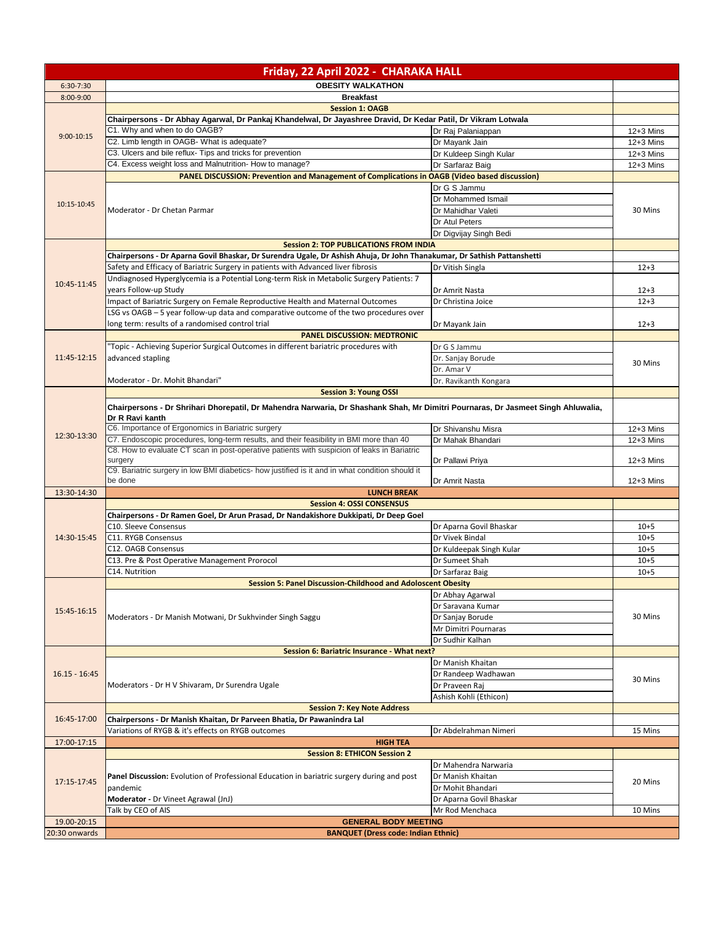| <b>OBESITY WALKATHON</b><br>$6:30-7:30$<br><b>Breakfast</b><br>8:00-9:00<br><b>Session 1: OAGB</b><br>Chairpersons - Dr Abhay Agarwal, Dr Pankaj Khandelwal, Dr Jayashree Dravid, Dr Kedar Patil, Dr Vikram Lotwala<br>C1. Why and when to do OAGB?<br>Dr Raj Palaniappan<br>$12+3$ Mins<br>$9:00-10:15$<br>C2. Limb length in OAGB- What is adequate?<br>Dr Mayank Jain<br>$12+3$ Mins<br>C3. Ulcers and bile reflux- Tips and tricks for prevention<br>Dr Kuldeep Singh Kular<br>$12+3$ Mins<br>C4. Excess weight loss and Malnutrition- How to manage?<br>Dr Sarfaraz Baig<br>$12+3$ Mins<br><b>PANEL DISCUSSION: Prevention and Management of Complications in OAGB (Video based discussion)</b><br>Dr G S Jammu<br>Dr Mohammed Ismail<br>10:15-10:45<br>Dr Mahidhar Valeti<br>30 Mins<br>Moderator - Dr Chetan Parmar<br>Dr Atul Peters<br>Dr Digvijay Singh Bedi<br><b>Session 2: TOP PUBLICATIONS FROM INDIA</b><br>Chairpersons - Dr Aparna Govil Bhaskar, Dr Surendra Ugale, Dr Ashish Ahuja, Dr John Thanakumar, Dr Sathish Pattanshetti<br>Safety and Efficacy of Bariatric Surgery in patients with Advanced liver fibrosis<br>Dr Vitish Singla<br>$12 + 3$<br>Undiagnosed Hyperglycemia is a Potential Long-term Risk in Metabolic Surgery Patients: 7<br>10:45-11:45<br>years Follow-up Study<br>Dr Amrit Nasta<br>$12 + 3$<br>Impact of Bariatric Surgery on Female Reproductive Health and Maternal Outcomes<br>Dr Christina Joice<br>$12 + 3$<br>LSG vs OAGB - 5 year follow-up data and comparative outcome of the two procedures over<br>long term: results of a randomised control trial<br>Dr Mayank Jain<br>$12 + 3$<br><b>PANEL DISCUSSION: MEDTRONIC</b><br>'Topic - Achieving Superior Surgical Outcomes in different bariatric procedures with<br>Dr G S Jammu<br>11:45-12:15<br>advanced stapling<br>Dr. Sanjay Borude<br>30 Mins<br>Dr. Amar V<br>Dr. Ravikanth Kongara<br>Moderator - Dr. Mohit Bhandari"<br><b>Session 3: Young OSSI</b><br>Chairpersons - Dr Shrihari Dhorepatil, Dr Mahendra Narwaria, Dr Shashank Shah, Mr Dimitri Pournaras, Dr Jasmeet Singh Ahluwalia,<br>Dr R Ravi kanth<br>C6. Importance of Ergonomics in Bariatric surgery<br>Dr Shivanshu Misra<br>$12+3$ Mins<br>12:30-13:30<br>C7. Endoscopic procedures, long-term results, and their feasibility in BMI more than 40<br>Dr Mahak Bhandari<br>$12+3$ Mins<br>C8. How to evaluate CT scan in post-operative patients with suspicion of leaks in Bariatric<br>surgery<br>Dr Pallawi Priya<br>$12+3$ Mins<br>C9. Bariatric surgery in low BMI diabetics- how justified is it and in what condition should it<br>be done<br>$12+3$ Mins<br>Dr Amrit Nasta<br>13:30-14:30<br><b>LUNCH BREAK</b><br><b>Session 4: OSSI CONSENSUS</b><br>Chairpersons - Dr Ramen Goel, Dr Arun Prasad, Dr Nandakishore Dukkipati, Dr Deep Goel<br>C10. Sleeve Consensus<br>Dr Aparna Govil Bhaskar<br>$10 + 5$<br>14:30-15:45<br>C11. RYGB Consensus<br>Dr Vivek Bindal<br>$10 + 5$<br>C12. OAGB Consensus<br>Dr Kuldeepak Singh Kular<br>$10 + 5$<br>C13. Pre & Post Operative Management Prorocol<br>Dr Sumeet Shah<br>$10 + 5$<br>C14. Nutrition<br>$10 + 5$<br>Dr Sarfaraz Baig<br><b>Session 5: Panel Discussion-Childhood and Adoloscent Obesity</b><br>Dr Abhay Agarwal<br>Dr Saravana Kumar<br>15:45-16:15<br>Dr Sanjay Borude<br>30 Mins<br>Moderators - Dr Manish Motwani, Dr Sukhvinder Singh Saggu<br>Mr Dimitri Pournaras<br>Dr Sudhir Kalhan<br>Session 6: Bariatric Insurance - What next?<br>Dr Manish Khaitan<br>$16.15 - 16.45$<br>Dr Randeep Wadhawan<br>30 Mins<br>Moderators - Dr H V Shivaram, Dr Surendra Ugale<br>Dr Praveen Raj<br>Ashish Kohli (Ethicon)<br><b>Session 7: Key Note Address</b><br>16:45-17:00<br>Chairpersons - Dr Manish Khaitan, Dr Parveen Bhatia, Dr Pawanindra Lal<br>Variations of RYGB & it's effects on RYGB outcomes<br>Dr Abdelrahman Nimeri<br>15 Mins<br>17:00-17:15<br><b>HIGH TEA</b><br><b>Session 8: ETHICON Session 2</b><br>Dr Mahendra Narwaria<br>Dr Manish Khaitan<br>Panel Discussion: Evolution of Professional Education in bariatric surgery during and post<br>17:15-17:45<br>20 Mins<br>pandemic<br>Dr Mohit Bhandari<br>Moderator - Dr Vineet Agrawal (JnJ)<br>Dr Aparna Govil Bhaskar<br>Talk by CEO of AIS<br>Mr Rod Menchaca<br>10 Mins<br>19.00-20:15<br><b>GENERAL BODY MEETING</b><br>20:30 onwards<br><b>BANQUET (Dress code: Indian Ethnic)</b> | Friday, 22 April 2022 - CHARAKA HALL |  |  |  |
|--------------------------------------------------------------------------------------------------------------------------------------------------------------------------------------------------------------------------------------------------------------------------------------------------------------------------------------------------------------------------------------------------------------------------------------------------------------------------------------------------------------------------------------------------------------------------------------------------------------------------------------------------------------------------------------------------------------------------------------------------------------------------------------------------------------------------------------------------------------------------------------------------------------------------------------------------------------------------------------------------------------------------------------------------------------------------------------------------------------------------------------------------------------------------------------------------------------------------------------------------------------------------------------------------------------------------------------------------------------------------------------------------------------------------------------------------------------------------------------------------------------------------------------------------------------------------------------------------------------------------------------------------------------------------------------------------------------------------------------------------------------------------------------------------------------------------------------------------------------------------------------------------------------------------------------------------------------------------------------------------------------------------------------------------------------------------------------------------------------------------------------------------------------------------------------------------------------------------------------------------------------------------------------------------------------------------------------------------------------------------------------------------------------------------------------------------------------------------------------------------------------------------------------------------------------------------------------------------------------------------------------------------------------------------------------------------------------------------------------------------------------------------------------------------------------------------------------------------------------------------------------------------------------------------------------------------------------------------------------------------------------------------------------------------------------------------------------------------------------------------------------------------------------------------------------------------------------------------------------------------------------------------------------------------------------------------------------------------------------------------------------------------------------------------------------------------------------------------------------------------------------------------------------------------------------------------------------------------------------------------------------------------------------------------------------------------------------------------------------------------------------------------------------------------------------------------------------------------------------------------------------------------------------------------------------------------------------------------------------------------------------------------------------------------------------------------------------------------------------------------------------------------------------------------------------------------------------------------------------------------------------------------------------------------------------------------------------------------------------------------------------------------------------------|--------------------------------------|--|--|--|
|                                                                                                                                                                                                                                                                                                                                                                                                                                                                                                                                                                                                                                                                                                                                                                                                                                                                                                                                                                                                                                                                                                                                                                                                                                                                                                                                                                                                                                                                                                                                                                                                                                                                                                                                                                                                                                                                                                                                                                                                                                                                                                                                                                                                                                                                                                                                                                                                                                                                                                                                                                                                                                                                                                                                                                                                                                                                                                                                                                                                                                                                                                                                                                                                                                                                                                                                                                                                                                                                                                                                                                                                                                                                                                                                                                                                                                                                                                                                                                                                                                                                                                                                                                                                                                                                                                                                                                                                                    |                                      |  |  |  |
|                                                                                                                                                                                                                                                                                                                                                                                                                                                                                                                                                                                                                                                                                                                                                                                                                                                                                                                                                                                                                                                                                                                                                                                                                                                                                                                                                                                                                                                                                                                                                                                                                                                                                                                                                                                                                                                                                                                                                                                                                                                                                                                                                                                                                                                                                                                                                                                                                                                                                                                                                                                                                                                                                                                                                                                                                                                                                                                                                                                                                                                                                                                                                                                                                                                                                                                                                                                                                                                                                                                                                                                                                                                                                                                                                                                                                                                                                                                                                                                                                                                                                                                                                                                                                                                                                                                                                                                                                    |                                      |  |  |  |
|                                                                                                                                                                                                                                                                                                                                                                                                                                                                                                                                                                                                                                                                                                                                                                                                                                                                                                                                                                                                                                                                                                                                                                                                                                                                                                                                                                                                                                                                                                                                                                                                                                                                                                                                                                                                                                                                                                                                                                                                                                                                                                                                                                                                                                                                                                                                                                                                                                                                                                                                                                                                                                                                                                                                                                                                                                                                                                                                                                                                                                                                                                                                                                                                                                                                                                                                                                                                                                                                                                                                                                                                                                                                                                                                                                                                                                                                                                                                                                                                                                                                                                                                                                                                                                                                                                                                                                                                                    |                                      |  |  |  |
|                                                                                                                                                                                                                                                                                                                                                                                                                                                                                                                                                                                                                                                                                                                                                                                                                                                                                                                                                                                                                                                                                                                                                                                                                                                                                                                                                                                                                                                                                                                                                                                                                                                                                                                                                                                                                                                                                                                                                                                                                                                                                                                                                                                                                                                                                                                                                                                                                                                                                                                                                                                                                                                                                                                                                                                                                                                                                                                                                                                                                                                                                                                                                                                                                                                                                                                                                                                                                                                                                                                                                                                                                                                                                                                                                                                                                                                                                                                                                                                                                                                                                                                                                                                                                                                                                                                                                                                                                    |                                      |  |  |  |
|                                                                                                                                                                                                                                                                                                                                                                                                                                                                                                                                                                                                                                                                                                                                                                                                                                                                                                                                                                                                                                                                                                                                                                                                                                                                                                                                                                                                                                                                                                                                                                                                                                                                                                                                                                                                                                                                                                                                                                                                                                                                                                                                                                                                                                                                                                                                                                                                                                                                                                                                                                                                                                                                                                                                                                                                                                                                                                                                                                                                                                                                                                                                                                                                                                                                                                                                                                                                                                                                                                                                                                                                                                                                                                                                                                                                                                                                                                                                                                                                                                                                                                                                                                                                                                                                                                                                                                                                                    |                                      |  |  |  |
|                                                                                                                                                                                                                                                                                                                                                                                                                                                                                                                                                                                                                                                                                                                                                                                                                                                                                                                                                                                                                                                                                                                                                                                                                                                                                                                                                                                                                                                                                                                                                                                                                                                                                                                                                                                                                                                                                                                                                                                                                                                                                                                                                                                                                                                                                                                                                                                                                                                                                                                                                                                                                                                                                                                                                                                                                                                                                                                                                                                                                                                                                                                                                                                                                                                                                                                                                                                                                                                                                                                                                                                                                                                                                                                                                                                                                                                                                                                                                                                                                                                                                                                                                                                                                                                                                                                                                                                                                    |                                      |  |  |  |
|                                                                                                                                                                                                                                                                                                                                                                                                                                                                                                                                                                                                                                                                                                                                                                                                                                                                                                                                                                                                                                                                                                                                                                                                                                                                                                                                                                                                                                                                                                                                                                                                                                                                                                                                                                                                                                                                                                                                                                                                                                                                                                                                                                                                                                                                                                                                                                                                                                                                                                                                                                                                                                                                                                                                                                                                                                                                                                                                                                                                                                                                                                                                                                                                                                                                                                                                                                                                                                                                                                                                                                                                                                                                                                                                                                                                                                                                                                                                                                                                                                                                                                                                                                                                                                                                                                                                                                                                                    |                                      |  |  |  |
|                                                                                                                                                                                                                                                                                                                                                                                                                                                                                                                                                                                                                                                                                                                                                                                                                                                                                                                                                                                                                                                                                                                                                                                                                                                                                                                                                                                                                                                                                                                                                                                                                                                                                                                                                                                                                                                                                                                                                                                                                                                                                                                                                                                                                                                                                                                                                                                                                                                                                                                                                                                                                                                                                                                                                                                                                                                                                                                                                                                                                                                                                                                                                                                                                                                                                                                                                                                                                                                                                                                                                                                                                                                                                                                                                                                                                                                                                                                                                                                                                                                                                                                                                                                                                                                                                                                                                                                                                    |                                      |  |  |  |
|                                                                                                                                                                                                                                                                                                                                                                                                                                                                                                                                                                                                                                                                                                                                                                                                                                                                                                                                                                                                                                                                                                                                                                                                                                                                                                                                                                                                                                                                                                                                                                                                                                                                                                                                                                                                                                                                                                                                                                                                                                                                                                                                                                                                                                                                                                                                                                                                                                                                                                                                                                                                                                                                                                                                                                                                                                                                                                                                                                                                                                                                                                                                                                                                                                                                                                                                                                                                                                                                                                                                                                                                                                                                                                                                                                                                                                                                                                                                                                                                                                                                                                                                                                                                                                                                                                                                                                                                                    |                                      |  |  |  |
|                                                                                                                                                                                                                                                                                                                                                                                                                                                                                                                                                                                                                                                                                                                                                                                                                                                                                                                                                                                                                                                                                                                                                                                                                                                                                                                                                                                                                                                                                                                                                                                                                                                                                                                                                                                                                                                                                                                                                                                                                                                                                                                                                                                                                                                                                                                                                                                                                                                                                                                                                                                                                                                                                                                                                                                                                                                                                                                                                                                                                                                                                                                                                                                                                                                                                                                                                                                                                                                                                                                                                                                                                                                                                                                                                                                                                                                                                                                                                                                                                                                                                                                                                                                                                                                                                                                                                                                                                    |                                      |  |  |  |
|                                                                                                                                                                                                                                                                                                                                                                                                                                                                                                                                                                                                                                                                                                                                                                                                                                                                                                                                                                                                                                                                                                                                                                                                                                                                                                                                                                                                                                                                                                                                                                                                                                                                                                                                                                                                                                                                                                                                                                                                                                                                                                                                                                                                                                                                                                                                                                                                                                                                                                                                                                                                                                                                                                                                                                                                                                                                                                                                                                                                                                                                                                                                                                                                                                                                                                                                                                                                                                                                                                                                                                                                                                                                                                                                                                                                                                                                                                                                                                                                                                                                                                                                                                                                                                                                                                                                                                                                                    |                                      |  |  |  |
|                                                                                                                                                                                                                                                                                                                                                                                                                                                                                                                                                                                                                                                                                                                                                                                                                                                                                                                                                                                                                                                                                                                                                                                                                                                                                                                                                                                                                                                                                                                                                                                                                                                                                                                                                                                                                                                                                                                                                                                                                                                                                                                                                                                                                                                                                                                                                                                                                                                                                                                                                                                                                                                                                                                                                                                                                                                                                                                                                                                                                                                                                                                                                                                                                                                                                                                                                                                                                                                                                                                                                                                                                                                                                                                                                                                                                                                                                                                                                                                                                                                                                                                                                                                                                                                                                                                                                                                                                    |                                      |  |  |  |
|                                                                                                                                                                                                                                                                                                                                                                                                                                                                                                                                                                                                                                                                                                                                                                                                                                                                                                                                                                                                                                                                                                                                                                                                                                                                                                                                                                                                                                                                                                                                                                                                                                                                                                                                                                                                                                                                                                                                                                                                                                                                                                                                                                                                                                                                                                                                                                                                                                                                                                                                                                                                                                                                                                                                                                                                                                                                                                                                                                                                                                                                                                                                                                                                                                                                                                                                                                                                                                                                                                                                                                                                                                                                                                                                                                                                                                                                                                                                                                                                                                                                                                                                                                                                                                                                                                                                                                                                                    |                                      |  |  |  |
|                                                                                                                                                                                                                                                                                                                                                                                                                                                                                                                                                                                                                                                                                                                                                                                                                                                                                                                                                                                                                                                                                                                                                                                                                                                                                                                                                                                                                                                                                                                                                                                                                                                                                                                                                                                                                                                                                                                                                                                                                                                                                                                                                                                                                                                                                                                                                                                                                                                                                                                                                                                                                                                                                                                                                                                                                                                                                                                                                                                                                                                                                                                                                                                                                                                                                                                                                                                                                                                                                                                                                                                                                                                                                                                                                                                                                                                                                                                                                                                                                                                                                                                                                                                                                                                                                                                                                                                                                    |                                      |  |  |  |
|                                                                                                                                                                                                                                                                                                                                                                                                                                                                                                                                                                                                                                                                                                                                                                                                                                                                                                                                                                                                                                                                                                                                                                                                                                                                                                                                                                                                                                                                                                                                                                                                                                                                                                                                                                                                                                                                                                                                                                                                                                                                                                                                                                                                                                                                                                                                                                                                                                                                                                                                                                                                                                                                                                                                                                                                                                                                                                                                                                                                                                                                                                                                                                                                                                                                                                                                                                                                                                                                                                                                                                                                                                                                                                                                                                                                                                                                                                                                                                                                                                                                                                                                                                                                                                                                                                                                                                                                                    |                                      |  |  |  |
|                                                                                                                                                                                                                                                                                                                                                                                                                                                                                                                                                                                                                                                                                                                                                                                                                                                                                                                                                                                                                                                                                                                                                                                                                                                                                                                                                                                                                                                                                                                                                                                                                                                                                                                                                                                                                                                                                                                                                                                                                                                                                                                                                                                                                                                                                                                                                                                                                                                                                                                                                                                                                                                                                                                                                                                                                                                                                                                                                                                                                                                                                                                                                                                                                                                                                                                                                                                                                                                                                                                                                                                                                                                                                                                                                                                                                                                                                                                                                                                                                                                                                                                                                                                                                                                                                                                                                                                                                    |                                      |  |  |  |
|                                                                                                                                                                                                                                                                                                                                                                                                                                                                                                                                                                                                                                                                                                                                                                                                                                                                                                                                                                                                                                                                                                                                                                                                                                                                                                                                                                                                                                                                                                                                                                                                                                                                                                                                                                                                                                                                                                                                                                                                                                                                                                                                                                                                                                                                                                                                                                                                                                                                                                                                                                                                                                                                                                                                                                                                                                                                                                                                                                                                                                                                                                                                                                                                                                                                                                                                                                                                                                                                                                                                                                                                                                                                                                                                                                                                                                                                                                                                                                                                                                                                                                                                                                                                                                                                                                                                                                                                                    |                                      |  |  |  |
|                                                                                                                                                                                                                                                                                                                                                                                                                                                                                                                                                                                                                                                                                                                                                                                                                                                                                                                                                                                                                                                                                                                                                                                                                                                                                                                                                                                                                                                                                                                                                                                                                                                                                                                                                                                                                                                                                                                                                                                                                                                                                                                                                                                                                                                                                                                                                                                                                                                                                                                                                                                                                                                                                                                                                                                                                                                                                                                                                                                                                                                                                                                                                                                                                                                                                                                                                                                                                                                                                                                                                                                                                                                                                                                                                                                                                                                                                                                                                                                                                                                                                                                                                                                                                                                                                                                                                                                                                    |                                      |  |  |  |
|                                                                                                                                                                                                                                                                                                                                                                                                                                                                                                                                                                                                                                                                                                                                                                                                                                                                                                                                                                                                                                                                                                                                                                                                                                                                                                                                                                                                                                                                                                                                                                                                                                                                                                                                                                                                                                                                                                                                                                                                                                                                                                                                                                                                                                                                                                                                                                                                                                                                                                                                                                                                                                                                                                                                                                                                                                                                                                                                                                                                                                                                                                                                                                                                                                                                                                                                                                                                                                                                                                                                                                                                                                                                                                                                                                                                                                                                                                                                                                                                                                                                                                                                                                                                                                                                                                                                                                                                                    |                                      |  |  |  |
|                                                                                                                                                                                                                                                                                                                                                                                                                                                                                                                                                                                                                                                                                                                                                                                                                                                                                                                                                                                                                                                                                                                                                                                                                                                                                                                                                                                                                                                                                                                                                                                                                                                                                                                                                                                                                                                                                                                                                                                                                                                                                                                                                                                                                                                                                                                                                                                                                                                                                                                                                                                                                                                                                                                                                                                                                                                                                                                                                                                                                                                                                                                                                                                                                                                                                                                                                                                                                                                                                                                                                                                                                                                                                                                                                                                                                                                                                                                                                                                                                                                                                                                                                                                                                                                                                                                                                                                                                    |                                      |  |  |  |
|                                                                                                                                                                                                                                                                                                                                                                                                                                                                                                                                                                                                                                                                                                                                                                                                                                                                                                                                                                                                                                                                                                                                                                                                                                                                                                                                                                                                                                                                                                                                                                                                                                                                                                                                                                                                                                                                                                                                                                                                                                                                                                                                                                                                                                                                                                                                                                                                                                                                                                                                                                                                                                                                                                                                                                                                                                                                                                                                                                                                                                                                                                                                                                                                                                                                                                                                                                                                                                                                                                                                                                                                                                                                                                                                                                                                                                                                                                                                                                                                                                                                                                                                                                                                                                                                                                                                                                                                                    |                                      |  |  |  |
|                                                                                                                                                                                                                                                                                                                                                                                                                                                                                                                                                                                                                                                                                                                                                                                                                                                                                                                                                                                                                                                                                                                                                                                                                                                                                                                                                                                                                                                                                                                                                                                                                                                                                                                                                                                                                                                                                                                                                                                                                                                                                                                                                                                                                                                                                                                                                                                                                                                                                                                                                                                                                                                                                                                                                                                                                                                                                                                                                                                                                                                                                                                                                                                                                                                                                                                                                                                                                                                                                                                                                                                                                                                                                                                                                                                                                                                                                                                                                                                                                                                                                                                                                                                                                                                                                                                                                                                                                    |                                      |  |  |  |
|                                                                                                                                                                                                                                                                                                                                                                                                                                                                                                                                                                                                                                                                                                                                                                                                                                                                                                                                                                                                                                                                                                                                                                                                                                                                                                                                                                                                                                                                                                                                                                                                                                                                                                                                                                                                                                                                                                                                                                                                                                                                                                                                                                                                                                                                                                                                                                                                                                                                                                                                                                                                                                                                                                                                                                                                                                                                                                                                                                                                                                                                                                                                                                                                                                                                                                                                                                                                                                                                                                                                                                                                                                                                                                                                                                                                                                                                                                                                                                                                                                                                                                                                                                                                                                                                                                                                                                                                                    |                                      |  |  |  |
|                                                                                                                                                                                                                                                                                                                                                                                                                                                                                                                                                                                                                                                                                                                                                                                                                                                                                                                                                                                                                                                                                                                                                                                                                                                                                                                                                                                                                                                                                                                                                                                                                                                                                                                                                                                                                                                                                                                                                                                                                                                                                                                                                                                                                                                                                                                                                                                                                                                                                                                                                                                                                                                                                                                                                                                                                                                                                                                                                                                                                                                                                                                                                                                                                                                                                                                                                                                                                                                                                                                                                                                                                                                                                                                                                                                                                                                                                                                                                                                                                                                                                                                                                                                                                                                                                                                                                                                                                    |                                      |  |  |  |
|                                                                                                                                                                                                                                                                                                                                                                                                                                                                                                                                                                                                                                                                                                                                                                                                                                                                                                                                                                                                                                                                                                                                                                                                                                                                                                                                                                                                                                                                                                                                                                                                                                                                                                                                                                                                                                                                                                                                                                                                                                                                                                                                                                                                                                                                                                                                                                                                                                                                                                                                                                                                                                                                                                                                                                                                                                                                                                                                                                                                                                                                                                                                                                                                                                                                                                                                                                                                                                                                                                                                                                                                                                                                                                                                                                                                                                                                                                                                                                                                                                                                                                                                                                                                                                                                                                                                                                                                                    |                                      |  |  |  |
|                                                                                                                                                                                                                                                                                                                                                                                                                                                                                                                                                                                                                                                                                                                                                                                                                                                                                                                                                                                                                                                                                                                                                                                                                                                                                                                                                                                                                                                                                                                                                                                                                                                                                                                                                                                                                                                                                                                                                                                                                                                                                                                                                                                                                                                                                                                                                                                                                                                                                                                                                                                                                                                                                                                                                                                                                                                                                                                                                                                                                                                                                                                                                                                                                                                                                                                                                                                                                                                                                                                                                                                                                                                                                                                                                                                                                                                                                                                                                                                                                                                                                                                                                                                                                                                                                                                                                                                                                    |                                      |  |  |  |
|                                                                                                                                                                                                                                                                                                                                                                                                                                                                                                                                                                                                                                                                                                                                                                                                                                                                                                                                                                                                                                                                                                                                                                                                                                                                                                                                                                                                                                                                                                                                                                                                                                                                                                                                                                                                                                                                                                                                                                                                                                                                                                                                                                                                                                                                                                                                                                                                                                                                                                                                                                                                                                                                                                                                                                                                                                                                                                                                                                                                                                                                                                                                                                                                                                                                                                                                                                                                                                                                                                                                                                                                                                                                                                                                                                                                                                                                                                                                                                                                                                                                                                                                                                                                                                                                                                                                                                                                                    |                                      |  |  |  |
|                                                                                                                                                                                                                                                                                                                                                                                                                                                                                                                                                                                                                                                                                                                                                                                                                                                                                                                                                                                                                                                                                                                                                                                                                                                                                                                                                                                                                                                                                                                                                                                                                                                                                                                                                                                                                                                                                                                                                                                                                                                                                                                                                                                                                                                                                                                                                                                                                                                                                                                                                                                                                                                                                                                                                                                                                                                                                                                                                                                                                                                                                                                                                                                                                                                                                                                                                                                                                                                                                                                                                                                                                                                                                                                                                                                                                                                                                                                                                                                                                                                                                                                                                                                                                                                                                                                                                                                                                    |                                      |  |  |  |
|                                                                                                                                                                                                                                                                                                                                                                                                                                                                                                                                                                                                                                                                                                                                                                                                                                                                                                                                                                                                                                                                                                                                                                                                                                                                                                                                                                                                                                                                                                                                                                                                                                                                                                                                                                                                                                                                                                                                                                                                                                                                                                                                                                                                                                                                                                                                                                                                                                                                                                                                                                                                                                                                                                                                                                                                                                                                                                                                                                                                                                                                                                                                                                                                                                                                                                                                                                                                                                                                                                                                                                                                                                                                                                                                                                                                                                                                                                                                                                                                                                                                                                                                                                                                                                                                                                                                                                                                                    |                                      |  |  |  |
|                                                                                                                                                                                                                                                                                                                                                                                                                                                                                                                                                                                                                                                                                                                                                                                                                                                                                                                                                                                                                                                                                                                                                                                                                                                                                                                                                                                                                                                                                                                                                                                                                                                                                                                                                                                                                                                                                                                                                                                                                                                                                                                                                                                                                                                                                                                                                                                                                                                                                                                                                                                                                                                                                                                                                                                                                                                                                                                                                                                                                                                                                                                                                                                                                                                                                                                                                                                                                                                                                                                                                                                                                                                                                                                                                                                                                                                                                                                                                                                                                                                                                                                                                                                                                                                                                                                                                                                                                    |                                      |  |  |  |
|                                                                                                                                                                                                                                                                                                                                                                                                                                                                                                                                                                                                                                                                                                                                                                                                                                                                                                                                                                                                                                                                                                                                                                                                                                                                                                                                                                                                                                                                                                                                                                                                                                                                                                                                                                                                                                                                                                                                                                                                                                                                                                                                                                                                                                                                                                                                                                                                                                                                                                                                                                                                                                                                                                                                                                                                                                                                                                                                                                                                                                                                                                                                                                                                                                                                                                                                                                                                                                                                                                                                                                                                                                                                                                                                                                                                                                                                                                                                                                                                                                                                                                                                                                                                                                                                                                                                                                                                                    |                                      |  |  |  |
|                                                                                                                                                                                                                                                                                                                                                                                                                                                                                                                                                                                                                                                                                                                                                                                                                                                                                                                                                                                                                                                                                                                                                                                                                                                                                                                                                                                                                                                                                                                                                                                                                                                                                                                                                                                                                                                                                                                                                                                                                                                                                                                                                                                                                                                                                                                                                                                                                                                                                                                                                                                                                                                                                                                                                                                                                                                                                                                                                                                                                                                                                                                                                                                                                                                                                                                                                                                                                                                                                                                                                                                                                                                                                                                                                                                                                                                                                                                                                                                                                                                                                                                                                                                                                                                                                                                                                                                                                    |                                      |  |  |  |
|                                                                                                                                                                                                                                                                                                                                                                                                                                                                                                                                                                                                                                                                                                                                                                                                                                                                                                                                                                                                                                                                                                                                                                                                                                                                                                                                                                                                                                                                                                                                                                                                                                                                                                                                                                                                                                                                                                                                                                                                                                                                                                                                                                                                                                                                                                                                                                                                                                                                                                                                                                                                                                                                                                                                                                                                                                                                                                                                                                                                                                                                                                                                                                                                                                                                                                                                                                                                                                                                                                                                                                                                                                                                                                                                                                                                                                                                                                                                                                                                                                                                                                                                                                                                                                                                                                                                                                                                                    |                                      |  |  |  |
|                                                                                                                                                                                                                                                                                                                                                                                                                                                                                                                                                                                                                                                                                                                                                                                                                                                                                                                                                                                                                                                                                                                                                                                                                                                                                                                                                                                                                                                                                                                                                                                                                                                                                                                                                                                                                                                                                                                                                                                                                                                                                                                                                                                                                                                                                                                                                                                                                                                                                                                                                                                                                                                                                                                                                                                                                                                                                                                                                                                                                                                                                                                                                                                                                                                                                                                                                                                                                                                                                                                                                                                                                                                                                                                                                                                                                                                                                                                                                                                                                                                                                                                                                                                                                                                                                                                                                                                                                    |                                      |  |  |  |
|                                                                                                                                                                                                                                                                                                                                                                                                                                                                                                                                                                                                                                                                                                                                                                                                                                                                                                                                                                                                                                                                                                                                                                                                                                                                                                                                                                                                                                                                                                                                                                                                                                                                                                                                                                                                                                                                                                                                                                                                                                                                                                                                                                                                                                                                                                                                                                                                                                                                                                                                                                                                                                                                                                                                                                                                                                                                                                                                                                                                                                                                                                                                                                                                                                                                                                                                                                                                                                                                                                                                                                                                                                                                                                                                                                                                                                                                                                                                                                                                                                                                                                                                                                                                                                                                                                                                                                                                                    |                                      |  |  |  |
|                                                                                                                                                                                                                                                                                                                                                                                                                                                                                                                                                                                                                                                                                                                                                                                                                                                                                                                                                                                                                                                                                                                                                                                                                                                                                                                                                                                                                                                                                                                                                                                                                                                                                                                                                                                                                                                                                                                                                                                                                                                                                                                                                                                                                                                                                                                                                                                                                                                                                                                                                                                                                                                                                                                                                                                                                                                                                                                                                                                                                                                                                                                                                                                                                                                                                                                                                                                                                                                                                                                                                                                                                                                                                                                                                                                                                                                                                                                                                                                                                                                                                                                                                                                                                                                                                                                                                                                                                    |                                      |  |  |  |
|                                                                                                                                                                                                                                                                                                                                                                                                                                                                                                                                                                                                                                                                                                                                                                                                                                                                                                                                                                                                                                                                                                                                                                                                                                                                                                                                                                                                                                                                                                                                                                                                                                                                                                                                                                                                                                                                                                                                                                                                                                                                                                                                                                                                                                                                                                                                                                                                                                                                                                                                                                                                                                                                                                                                                                                                                                                                                                                                                                                                                                                                                                                                                                                                                                                                                                                                                                                                                                                                                                                                                                                                                                                                                                                                                                                                                                                                                                                                                                                                                                                                                                                                                                                                                                                                                                                                                                                                                    |                                      |  |  |  |
|                                                                                                                                                                                                                                                                                                                                                                                                                                                                                                                                                                                                                                                                                                                                                                                                                                                                                                                                                                                                                                                                                                                                                                                                                                                                                                                                                                                                                                                                                                                                                                                                                                                                                                                                                                                                                                                                                                                                                                                                                                                                                                                                                                                                                                                                                                                                                                                                                                                                                                                                                                                                                                                                                                                                                                                                                                                                                                                                                                                                                                                                                                                                                                                                                                                                                                                                                                                                                                                                                                                                                                                                                                                                                                                                                                                                                                                                                                                                                                                                                                                                                                                                                                                                                                                                                                                                                                                                                    |                                      |  |  |  |
|                                                                                                                                                                                                                                                                                                                                                                                                                                                                                                                                                                                                                                                                                                                                                                                                                                                                                                                                                                                                                                                                                                                                                                                                                                                                                                                                                                                                                                                                                                                                                                                                                                                                                                                                                                                                                                                                                                                                                                                                                                                                                                                                                                                                                                                                                                                                                                                                                                                                                                                                                                                                                                                                                                                                                                                                                                                                                                                                                                                                                                                                                                                                                                                                                                                                                                                                                                                                                                                                                                                                                                                                                                                                                                                                                                                                                                                                                                                                                                                                                                                                                                                                                                                                                                                                                                                                                                                                                    |                                      |  |  |  |
|                                                                                                                                                                                                                                                                                                                                                                                                                                                                                                                                                                                                                                                                                                                                                                                                                                                                                                                                                                                                                                                                                                                                                                                                                                                                                                                                                                                                                                                                                                                                                                                                                                                                                                                                                                                                                                                                                                                                                                                                                                                                                                                                                                                                                                                                                                                                                                                                                                                                                                                                                                                                                                                                                                                                                                                                                                                                                                                                                                                                                                                                                                                                                                                                                                                                                                                                                                                                                                                                                                                                                                                                                                                                                                                                                                                                                                                                                                                                                                                                                                                                                                                                                                                                                                                                                                                                                                                                                    |                                      |  |  |  |
|                                                                                                                                                                                                                                                                                                                                                                                                                                                                                                                                                                                                                                                                                                                                                                                                                                                                                                                                                                                                                                                                                                                                                                                                                                                                                                                                                                                                                                                                                                                                                                                                                                                                                                                                                                                                                                                                                                                                                                                                                                                                                                                                                                                                                                                                                                                                                                                                                                                                                                                                                                                                                                                                                                                                                                                                                                                                                                                                                                                                                                                                                                                                                                                                                                                                                                                                                                                                                                                                                                                                                                                                                                                                                                                                                                                                                                                                                                                                                                                                                                                                                                                                                                                                                                                                                                                                                                                                                    |                                      |  |  |  |
|                                                                                                                                                                                                                                                                                                                                                                                                                                                                                                                                                                                                                                                                                                                                                                                                                                                                                                                                                                                                                                                                                                                                                                                                                                                                                                                                                                                                                                                                                                                                                                                                                                                                                                                                                                                                                                                                                                                                                                                                                                                                                                                                                                                                                                                                                                                                                                                                                                                                                                                                                                                                                                                                                                                                                                                                                                                                                                                                                                                                                                                                                                                                                                                                                                                                                                                                                                                                                                                                                                                                                                                                                                                                                                                                                                                                                                                                                                                                                                                                                                                                                                                                                                                                                                                                                                                                                                                                                    |                                      |  |  |  |
|                                                                                                                                                                                                                                                                                                                                                                                                                                                                                                                                                                                                                                                                                                                                                                                                                                                                                                                                                                                                                                                                                                                                                                                                                                                                                                                                                                                                                                                                                                                                                                                                                                                                                                                                                                                                                                                                                                                                                                                                                                                                                                                                                                                                                                                                                                                                                                                                                                                                                                                                                                                                                                                                                                                                                                                                                                                                                                                                                                                                                                                                                                                                                                                                                                                                                                                                                                                                                                                                                                                                                                                                                                                                                                                                                                                                                                                                                                                                                                                                                                                                                                                                                                                                                                                                                                                                                                                                                    |                                      |  |  |  |
|                                                                                                                                                                                                                                                                                                                                                                                                                                                                                                                                                                                                                                                                                                                                                                                                                                                                                                                                                                                                                                                                                                                                                                                                                                                                                                                                                                                                                                                                                                                                                                                                                                                                                                                                                                                                                                                                                                                                                                                                                                                                                                                                                                                                                                                                                                                                                                                                                                                                                                                                                                                                                                                                                                                                                                                                                                                                                                                                                                                                                                                                                                                                                                                                                                                                                                                                                                                                                                                                                                                                                                                                                                                                                                                                                                                                                                                                                                                                                                                                                                                                                                                                                                                                                                                                                                                                                                                                                    |                                      |  |  |  |
|                                                                                                                                                                                                                                                                                                                                                                                                                                                                                                                                                                                                                                                                                                                                                                                                                                                                                                                                                                                                                                                                                                                                                                                                                                                                                                                                                                                                                                                                                                                                                                                                                                                                                                                                                                                                                                                                                                                                                                                                                                                                                                                                                                                                                                                                                                                                                                                                                                                                                                                                                                                                                                                                                                                                                                                                                                                                                                                                                                                                                                                                                                                                                                                                                                                                                                                                                                                                                                                                                                                                                                                                                                                                                                                                                                                                                                                                                                                                                                                                                                                                                                                                                                                                                                                                                                                                                                                                                    |                                      |  |  |  |
|                                                                                                                                                                                                                                                                                                                                                                                                                                                                                                                                                                                                                                                                                                                                                                                                                                                                                                                                                                                                                                                                                                                                                                                                                                                                                                                                                                                                                                                                                                                                                                                                                                                                                                                                                                                                                                                                                                                                                                                                                                                                                                                                                                                                                                                                                                                                                                                                                                                                                                                                                                                                                                                                                                                                                                                                                                                                                                                                                                                                                                                                                                                                                                                                                                                                                                                                                                                                                                                                                                                                                                                                                                                                                                                                                                                                                                                                                                                                                                                                                                                                                                                                                                                                                                                                                                                                                                                                                    |                                      |  |  |  |
|                                                                                                                                                                                                                                                                                                                                                                                                                                                                                                                                                                                                                                                                                                                                                                                                                                                                                                                                                                                                                                                                                                                                                                                                                                                                                                                                                                                                                                                                                                                                                                                                                                                                                                                                                                                                                                                                                                                                                                                                                                                                                                                                                                                                                                                                                                                                                                                                                                                                                                                                                                                                                                                                                                                                                                                                                                                                                                                                                                                                                                                                                                                                                                                                                                                                                                                                                                                                                                                                                                                                                                                                                                                                                                                                                                                                                                                                                                                                                                                                                                                                                                                                                                                                                                                                                                                                                                                                                    |                                      |  |  |  |
|                                                                                                                                                                                                                                                                                                                                                                                                                                                                                                                                                                                                                                                                                                                                                                                                                                                                                                                                                                                                                                                                                                                                                                                                                                                                                                                                                                                                                                                                                                                                                                                                                                                                                                                                                                                                                                                                                                                                                                                                                                                                                                                                                                                                                                                                                                                                                                                                                                                                                                                                                                                                                                                                                                                                                                                                                                                                                                                                                                                                                                                                                                                                                                                                                                                                                                                                                                                                                                                                                                                                                                                                                                                                                                                                                                                                                                                                                                                                                                                                                                                                                                                                                                                                                                                                                                                                                                                                                    |                                      |  |  |  |
|                                                                                                                                                                                                                                                                                                                                                                                                                                                                                                                                                                                                                                                                                                                                                                                                                                                                                                                                                                                                                                                                                                                                                                                                                                                                                                                                                                                                                                                                                                                                                                                                                                                                                                                                                                                                                                                                                                                                                                                                                                                                                                                                                                                                                                                                                                                                                                                                                                                                                                                                                                                                                                                                                                                                                                                                                                                                                                                                                                                                                                                                                                                                                                                                                                                                                                                                                                                                                                                                                                                                                                                                                                                                                                                                                                                                                                                                                                                                                                                                                                                                                                                                                                                                                                                                                                                                                                                                                    |                                      |  |  |  |
|                                                                                                                                                                                                                                                                                                                                                                                                                                                                                                                                                                                                                                                                                                                                                                                                                                                                                                                                                                                                                                                                                                                                                                                                                                                                                                                                                                                                                                                                                                                                                                                                                                                                                                                                                                                                                                                                                                                                                                                                                                                                                                                                                                                                                                                                                                                                                                                                                                                                                                                                                                                                                                                                                                                                                                                                                                                                                                                                                                                                                                                                                                                                                                                                                                                                                                                                                                                                                                                                                                                                                                                                                                                                                                                                                                                                                                                                                                                                                                                                                                                                                                                                                                                                                                                                                                                                                                                                                    |                                      |  |  |  |
|                                                                                                                                                                                                                                                                                                                                                                                                                                                                                                                                                                                                                                                                                                                                                                                                                                                                                                                                                                                                                                                                                                                                                                                                                                                                                                                                                                                                                                                                                                                                                                                                                                                                                                                                                                                                                                                                                                                                                                                                                                                                                                                                                                                                                                                                                                                                                                                                                                                                                                                                                                                                                                                                                                                                                                                                                                                                                                                                                                                                                                                                                                                                                                                                                                                                                                                                                                                                                                                                                                                                                                                                                                                                                                                                                                                                                                                                                                                                                                                                                                                                                                                                                                                                                                                                                                                                                                                                                    |                                      |  |  |  |
|                                                                                                                                                                                                                                                                                                                                                                                                                                                                                                                                                                                                                                                                                                                                                                                                                                                                                                                                                                                                                                                                                                                                                                                                                                                                                                                                                                                                                                                                                                                                                                                                                                                                                                                                                                                                                                                                                                                                                                                                                                                                                                                                                                                                                                                                                                                                                                                                                                                                                                                                                                                                                                                                                                                                                                                                                                                                                                                                                                                                                                                                                                                                                                                                                                                                                                                                                                                                                                                                                                                                                                                                                                                                                                                                                                                                                                                                                                                                                                                                                                                                                                                                                                                                                                                                                                                                                                                                                    |                                      |  |  |  |
|                                                                                                                                                                                                                                                                                                                                                                                                                                                                                                                                                                                                                                                                                                                                                                                                                                                                                                                                                                                                                                                                                                                                                                                                                                                                                                                                                                                                                                                                                                                                                                                                                                                                                                                                                                                                                                                                                                                                                                                                                                                                                                                                                                                                                                                                                                                                                                                                                                                                                                                                                                                                                                                                                                                                                                                                                                                                                                                                                                                                                                                                                                                                                                                                                                                                                                                                                                                                                                                                                                                                                                                                                                                                                                                                                                                                                                                                                                                                                                                                                                                                                                                                                                                                                                                                                                                                                                                                                    |                                      |  |  |  |
|                                                                                                                                                                                                                                                                                                                                                                                                                                                                                                                                                                                                                                                                                                                                                                                                                                                                                                                                                                                                                                                                                                                                                                                                                                                                                                                                                                                                                                                                                                                                                                                                                                                                                                                                                                                                                                                                                                                                                                                                                                                                                                                                                                                                                                                                                                                                                                                                                                                                                                                                                                                                                                                                                                                                                                                                                                                                                                                                                                                                                                                                                                                                                                                                                                                                                                                                                                                                                                                                                                                                                                                                                                                                                                                                                                                                                                                                                                                                                                                                                                                                                                                                                                                                                                                                                                                                                                                                                    |                                      |  |  |  |
|                                                                                                                                                                                                                                                                                                                                                                                                                                                                                                                                                                                                                                                                                                                                                                                                                                                                                                                                                                                                                                                                                                                                                                                                                                                                                                                                                                                                                                                                                                                                                                                                                                                                                                                                                                                                                                                                                                                                                                                                                                                                                                                                                                                                                                                                                                                                                                                                                                                                                                                                                                                                                                                                                                                                                                                                                                                                                                                                                                                                                                                                                                                                                                                                                                                                                                                                                                                                                                                                                                                                                                                                                                                                                                                                                                                                                                                                                                                                                                                                                                                                                                                                                                                                                                                                                                                                                                                                                    |                                      |  |  |  |
|                                                                                                                                                                                                                                                                                                                                                                                                                                                                                                                                                                                                                                                                                                                                                                                                                                                                                                                                                                                                                                                                                                                                                                                                                                                                                                                                                                                                                                                                                                                                                                                                                                                                                                                                                                                                                                                                                                                                                                                                                                                                                                                                                                                                                                                                                                                                                                                                                                                                                                                                                                                                                                                                                                                                                                                                                                                                                                                                                                                                                                                                                                                                                                                                                                                                                                                                                                                                                                                                                                                                                                                                                                                                                                                                                                                                                                                                                                                                                                                                                                                                                                                                                                                                                                                                                                                                                                                                                    |                                      |  |  |  |
|                                                                                                                                                                                                                                                                                                                                                                                                                                                                                                                                                                                                                                                                                                                                                                                                                                                                                                                                                                                                                                                                                                                                                                                                                                                                                                                                                                                                                                                                                                                                                                                                                                                                                                                                                                                                                                                                                                                                                                                                                                                                                                                                                                                                                                                                                                                                                                                                                                                                                                                                                                                                                                                                                                                                                                                                                                                                                                                                                                                                                                                                                                                                                                                                                                                                                                                                                                                                                                                                                                                                                                                                                                                                                                                                                                                                                                                                                                                                                                                                                                                                                                                                                                                                                                                                                                                                                                                                                    |                                      |  |  |  |
|                                                                                                                                                                                                                                                                                                                                                                                                                                                                                                                                                                                                                                                                                                                                                                                                                                                                                                                                                                                                                                                                                                                                                                                                                                                                                                                                                                                                                                                                                                                                                                                                                                                                                                                                                                                                                                                                                                                                                                                                                                                                                                                                                                                                                                                                                                                                                                                                                                                                                                                                                                                                                                                                                                                                                                                                                                                                                                                                                                                                                                                                                                                                                                                                                                                                                                                                                                                                                                                                                                                                                                                                                                                                                                                                                                                                                                                                                                                                                                                                                                                                                                                                                                                                                                                                                                                                                                                                                    |                                      |  |  |  |
|                                                                                                                                                                                                                                                                                                                                                                                                                                                                                                                                                                                                                                                                                                                                                                                                                                                                                                                                                                                                                                                                                                                                                                                                                                                                                                                                                                                                                                                                                                                                                                                                                                                                                                                                                                                                                                                                                                                                                                                                                                                                                                                                                                                                                                                                                                                                                                                                                                                                                                                                                                                                                                                                                                                                                                                                                                                                                                                                                                                                                                                                                                                                                                                                                                                                                                                                                                                                                                                                                                                                                                                                                                                                                                                                                                                                                                                                                                                                                                                                                                                                                                                                                                                                                                                                                                                                                                                                                    |                                      |  |  |  |
|                                                                                                                                                                                                                                                                                                                                                                                                                                                                                                                                                                                                                                                                                                                                                                                                                                                                                                                                                                                                                                                                                                                                                                                                                                                                                                                                                                                                                                                                                                                                                                                                                                                                                                                                                                                                                                                                                                                                                                                                                                                                                                                                                                                                                                                                                                                                                                                                                                                                                                                                                                                                                                                                                                                                                                                                                                                                                                                                                                                                                                                                                                                                                                                                                                                                                                                                                                                                                                                                                                                                                                                                                                                                                                                                                                                                                                                                                                                                                                                                                                                                                                                                                                                                                                                                                                                                                                                                                    |                                      |  |  |  |
|                                                                                                                                                                                                                                                                                                                                                                                                                                                                                                                                                                                                                                                                                                                                                                                                                                                                                                                                                                                                                                                                                                                                                                                                                                                                                                                                                                                                                                                                                                                                                                                                                                                                                                                                                                                                                                                                                                                                                                                                                                                                                                                                                                                                                                                                                                                                                                                                                                                                                                                                                                                                                                                                                                                                                                                                                                                                                                                                                                                                                                                                                                                                                                                                                                                                                                                                                                                                                                                                                                                                                                                                                                                                                                                                                                                                                                                                                                                                                                                                                                                                                                                                                                                                                                                                                                                                                                                                                    |                                      |  |  |  |
|                                                                                                                                                                                                                                                                                                                                                                                                                                                                                                                                                                                                                                                                                                                                                                                                                                                                                                                                                                                                                                                                                                                                                                                                                                                                                                                                                                                                                                                                                                                                                                                                                                                                                                                                                                                                                                                                                                                                                                                                                                                                                                                                                                                                                                                                                                                                                                                                                                                                                                                                                                                                                                                                                                                                                                                                                                                                                                                                                                                                                                                                                                                                                                                                                                                                                                                                                                                                                                                                                                                                                                                                                                                                                                                                                                                                                                                                                                                                                                                                                                                                                                                                                                                                                                                                                                                                                                                                                    |                                      |  |  |  |
|                                                                                                                                                                                                                                                                                                                                                                                                                                                                                                                                                                                                                                                                                                                                                                                                                                                                                                                                                                                                                                                                                                                                                                                                                                                                                                                                                                                                                                                                                                                                                                                                                                                                                                                                                                                                                                                                                                                                                                                                                                                                                                                                                                                                                                                                                                                                                                                                                                                                                                                                                                                                                                                                                                                                                                                                                                                                                                                                                                                                                                                                                                                                                                                                                                                                                                                                                                                                                                                                                                                                                                                                                                                                                                                                                                                                                                                                                                                                                                                                                                                                                                                                                                                                                                                                                                                                                                                                                    |                                      |  |  |  |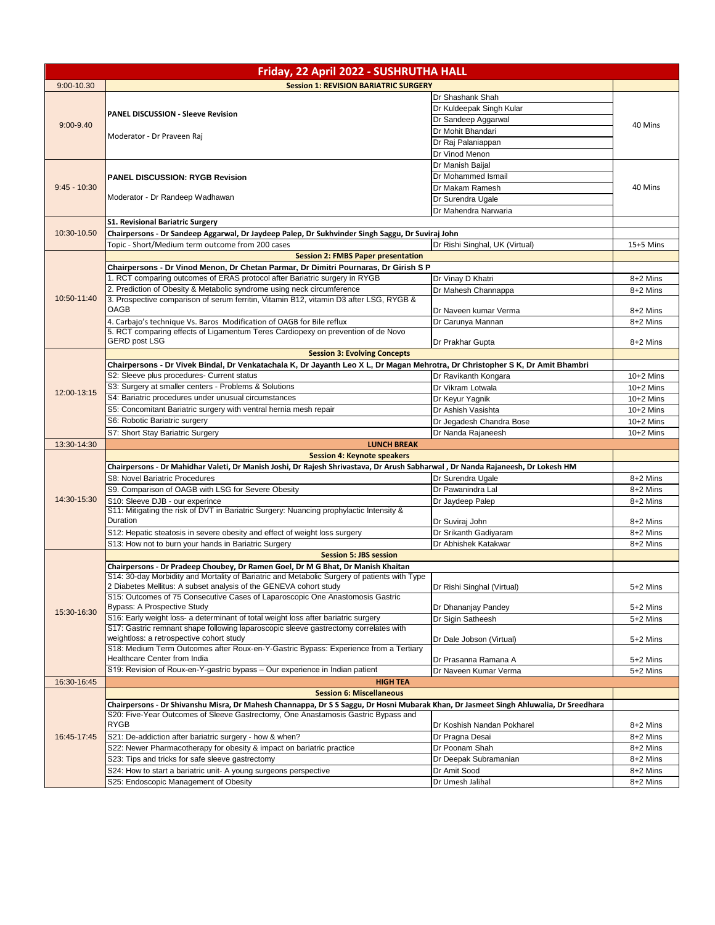| Friday, 22 April 2022 - SUSHRUTHA HALL |                                                                                                                                                                                                                            |                                |             |
|----------------------------------------|----------------------------------------------------------------------------------------------------------------------------------------------------------------------------------------------------------------------------|--------------------------------|-------------|
| 9:00-10.30                             | <b>Session 1: REVISION BARIATRIC SURGERY</b>                                                                                                                                                                               |                                |             |
|                                        |                                                                                                                                                                                                                            | Dr Shashank Shah               |             |
|                                        |                                                                                                                                                                                                                            | Dr Kuldeepak Singh Kular       |             |
|                                        | <b>PANEL DISCUSSION - Sleeve Revision</b>                                                                                                                                                                                  | Dr Sandeep Aggarwal            |             |
| $9:00 - 9.40$                          |                                                                                                                                                                                                                            | Dr Mohit Bhandari              | 40 Mins     |
|                                        | Moderator - Dr Praveen Raj                                                                                                                                                                                                 | Dr Raj Palaniappan             |             |
|                                        |                                                                                                                                                                                                                            | Dr Vinod Menon                 |             |
|                                        |                                                                                                                                                                                                                            |                                |             |
|                                        |                                                                                                                                                                                                                            | Dr Manish Baijal               |             |
| $9:45 - 10:30$                         | <b>PANEL DISCUSSION: RYGB Revision</b>                                                                                                                                                                                     | Dr Mohammed Ismail             |             |
|                                        | Moderator - Dr Randeep Wadhawan                                                                                                                                                                                            | Dr Makam Ramesh                | 40 Mins     |
|                                        |                                                                                                                                                                                                                            | Dr Surendra Ugale              |             |
|                                        |                                                                                                                                                                                                                            | Dr Mahendra Narwaria           |             |
|                                        | <b>S1. Revisional Bariatric Surgery</b>                                                                                                                                                                                    |                                |             |
| 10:30-10.50                            | Chairpersons - Dr Sandeep Aggarwal, Dr Jaydeep Palep, Dr Sukhvinder Singh Saggu, Dr Suviraj John                                                                                                                           |                                |             |
|                                        | Topic - Short/Medium term outcome from 200 cases                                                                                                                                                                           | Dr Rishi Singhal, UK (Virtual) | 15+5 Mins   |
|                                        | <b>Session 2: FMBS Paper presentation</b>                                                                                                                                                                                  |                                |             |
|                                        | Chairpersons - Dr Vinod Menon, Dr Chetan Parmar, Dr Dimitri Pournaras, Dr Girish S P                                                                                                                                       |                                |             |
|                                        | 1. RCT comparing outcomes of ERAS protocol after Bariatric surgery in RYGB                                                                                                                                                 | Dr Vinay D Khatri              | 8+2 Mins    |
|                                        | 2. Prediction of Obesity & Metabolic syndrome using neck circumference                                                                                                                                                     | Dr Mahesh Channappa            | 8+2 Mins    |
| 10:50-11:40                            | 3. Prospective comparison of serum ferritin, Vitamin B12, vitamin D3 after LSG, RYGB &                                                                                                                                     |                                |             |
|                                        | <b>OAGB</b>                                                                                                                                                                                                                | Dr Naveen kumar Verma          | 8+2 Mins    |
|                                        | 4. Carbajo's technique Vs. Baros Modification of OAGB for Bile reflux                                                                                                                                                      | Dr Carunya Mannan              | 8+2 Mins    |
|                                        | 5. RCT comparing effects of Ligamentum Teres Cardiopexy on prevention of de Novo                                                                                                                                           |                                |             |
|                                        | <b>GERD post LSG</b>                                                                                                                                                                                                       | Dr Prakhar Gupta               | 8+2 Mins    |
|                                        | <b>Session 3: Evolving Concepts</b>                                                                                                                                                                                        |                                |             |
|                                        | Chairpersons - Dr Vivek Bindal, Dr Venkatachala K, Dr Jayanth Leo X L, Dr Magan Mehrotra, Dr Christopher S K, Dr Amit Bhambri                                                                                              |                                |             |
|                                        | S2: Sleeve plus procedures- Current status                                                                                                                                                                                 | Dr Ravikanth Kongara           | $10+2$ Mins |
| 12:00-13:15                            | S3: Surgery at smaller centers - Problems & Solutions                                                                                                                                                                      | Dr Vikram Lotwala              | $10+2$ Mins |
|                                        | S4: Bariatric procedures under unusual circumstances                                                                                                                                                                       | Dr Keyur Yagnik                | $10+2$ Mins |
|                                        | S5: Concomitant Bariatric surgery with ventral hernia mesh repair                                                                                                                                                          | Dr Ashish Vasishta             | $10+2$ Mins |
|                                        | S6: Robotic Bariatric surgery                                                                                                                                                                                              | Dr Jegadesh Chandra Bose       | $10+2$ Mins |
|                                        | S7: Short Stay Bariatric Surgery                                                                                                                                                                                           | Dr Nanda Rajaneesh             | $10+2$ Mins |
| 13:30-14:30                            | <b>LUNCH BREAK</b>                                                                                                                                                                                                         |                                |             |
|                                        | <b>Session 4: Keynote speakers</b>                                                                                                                                                                                         |                                |             |
|                                        | Chairpersons - Dr Mahidhar Valeti, Dr Manish Joshi, Dr Rajesh Shrivastava, Dr Arush Sabharwal, Dr Nanda Rajaneesh, Dr Lokesh HM                                                                                            |                                |             |
|                                        | S8: Novel Bariatric Procedures                                                                                                                                                                                             | Dr Surendra Ugale              | 8+2 Mins    |
|                                        | S9. Comparison of OAGB with LSG for Severe Obesity                                                                                                                                                                         | Dr Pawanindra Lal              | 8+2 Mins    |
| 14:30-15:30                            | S10: Sleeve DJB - our experince                                                                                                                                                                                            | Dr Jaydeep Palep               | 8+2 Mins    |
|                                        | S11: Mitigating the risk of DVT in Bariatric Surgery: Nuancing prophylactic Intensity &                                                                                                                                    |                                |             |
|                                        | Duration                                                                                                                                                                                                                   | Dr Suviraj John                | 8+2 Mins    |
|                                        | S12: Hepatic steatosis in severe obesity and effect of weight loss surgery                                                                                                                                                 | Dr Srikanth Gadiyaram          | 8+2 Mins    |
|                                        | S13: How not to burn your hands in Bariatric Surgery                                                                                                                                                                       | Dr Abhishek Katakwar           | 8+2 Mins    |
|                                        | <b>Session 5: JBS session</b>                                                                                                                                                                                              |                                |             |
|                                        | Chairpersons - Dr Pradeep Choubey, Dr Ramen Goel, Dr M G Bhat, Dr Manish Khaitan                                                                                                                                           |                                |             |
|                                        | S14: 30-day Morbidity and Mortality of Bariatric and Metabolic Surgery of patients with Type                                                                                                                               |                                |             |
|                                        | 2 Diabetes Mellitus: A subset analysis of the GENEVA cohort study                                                                                                                                                          | Dr Rishi Singhal (Virtual)     | 5+2 Mins    |
|                                        | S15: Outcomes of 75 Consecutive Cases of Laparoscopic One Anastomosis Gastric                                                                                                                                              |                                |             |
| 15:30-16:30                            | Bypass: A Prospective Study                                                                                                                                                                                                | Dr Dhananjay Pandey            | 5+2 Mins    |
|                                        | S16: Early weight loss- a determinant of total weight loss after bariatric surgery                                                                                                                                         | Dr Sigin Satheesh              | 5+2 Mins    |
|                                        | S17: Gastric remnant shape following laparoscopic sleeve gastrectomy correlates with                                                                                                                                       |                                |             |
|                                        | weightloss: a retrospective cohort study<br>S18: Medium Term Outcomes after Roux-en-Y-Gastric Bypass: Experience from a Tertiary                                                                                           | Dr Dale Jobson (Virtual)       | 5+2 Mins    |
|                                        | Healthcare Center from India                                                                                                                                                                                               | Dr Prasanna Ramana A           | 5+2 Mins    |
|                                        | S19: Revision of Roux-en-Y-gastric bypass - Our experience in Indian patient                                                                                                                                               | Dr Naveen Kumar Verma          | 5+2 Mins    |
|                                        |                                                                                                                                                                                                                            |                                |             |
| 16:30-16:45                            | <b>HIGH TEA</b><br><b>Session 6: Miscellaneous</b>                                                                                                                                                                         |                                |             |
|                                        |                                                                                                                                                                                                                            |                                |             |
|                                        | Chairpersons - Dr Shivanshu Misra, Dr Mahesh Channappa, Dr S S Saggu, Dr Hosni Mubarak Khan, Dr Jasmeet Singh Ahluwalia, Dr Sreedhara<br>S20: Five-Year Outcomes of Sleeve Gastrectomy, One Anastamosis Gastric Bypass and |                                |             |
|                                        | <b>RYGB</b>                                                                                                                                                                                                                | Dr Koshish Nandan Pokharel     | 8+2 Mins    |
|                                        |                                                                                                                                                                                                                            |                                |             |
| 16:45-17:45                            | S21: De-addiction after bariatric surgery - how & when?                                                                                                                                                                    | Dr Pragna Desai                | 8+2 Mins    |
|                                        | S22: Newer Pharmacotherapy for obesity & impact on bariatric practice                                                                                                                                                      | Dr Poonam Shah                 | 8+2 Mins    |
|                                        | S23: Tips and tricks for safe sleeve gastrectomy                                                                                                                                                                           | Dr Deepak Subramanian          | 8+2 Mins    |
|                                        | S24: How to start a bariatric unit- A young surgeons perspective                                                                                                                                                           | Dr Amit Sood                   | 8+2 Mins    |
|                                        | S25: Endoscopic Management of Obesity                                                                                                                                                                                      | Dr Umesh Jalihal               | 8+2 Mins    |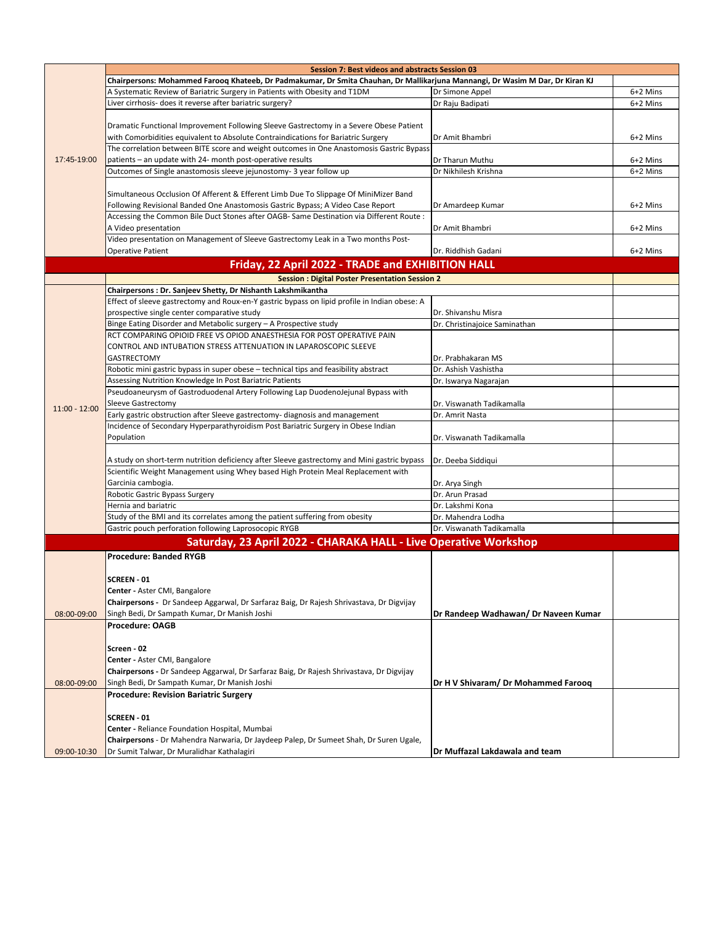|                 | <b>Session 7: Best videos and abstracts Session 03</b>                                                                        |                                      |          |  |
|-----------------|-------------------------------------------------------------------------------------------------------------------------------|--------------------------------------|----------|--|
|                 | Chairpersons: Mohammed Faroog Khateeb, Dr Padmakumar, Dr Smita Chauhan, Dr Mallikarjuna Mannangi, Dr Wasim M Dar, Dr Kiran KJ |                                      |          |  |
|                 | A Systematic Review of Bariatric Surgery in Patients with Obesity and T1DM                                                    | Dr Simone Appel                      | 6+2 Mins |  |
|                 | Liver cirrhosis- does it reverse after bariatric surgery?                                                                     | Dr Raju Badipati                     | 6+2 Mins |  |
|                 |                                                                                                                               |                                      |          |  |
|                 | Dramatic Functional Improvement Following Sleeve Gastrectomy in a Severe Obese Patient                                        |                                      |          |  |
|                 | with Comorbidities equivalent to Absolute Contraindications for Bariatric Surgery                                             | Dr Amit Bhambri                      | 6+2 Mins |  |
|                 | The correlation between BITE score and weight outcomes in One Anastomosis Gastric Bypass                                      |                                      |          |  |
| 17:45-19:00     | patients - an update with 24- month post-operative results                                                                    | Dr Tharun Muthu                      | 6+2 Mins |  |
|                 | Outcomes of Single anastomosis sleeve jejunostomy- 3 year follow up                                                           | Dr Nikhilesh Krishna                 | 6+2 Mins |  |
|                 |                                                                                                                               |                                      |          |  |
|                 | Simultaneous Occlusion Of Afferent & Efferent Limb Due To Slippage Of MiniMizer Band                                          |                                      |          |  |
|                 | Following Revisional Banded One Anastomosis Gastric Bypass; A Video Case Report                                               | Dr Amardeep Kumar                    | 6+2 Mins |  |
|                 | Accessing the Common Bile Duct Stones after OAGB- Same Destination via Different Route :                                      |                                      |          |  |
|                 | A Video presentation                                                                                                          | Dr Amit Bhambri                      | 6+2 Mins |  |
|                 | Video presentation on Management of Sleeve Gastrectomy Leak in a Two months Post-                                             |                                      |          |  |
|                 | <b>Operative Patient</b>                                                                                                      | Dr. Riddhish Gadani                  | 6+2 Mins |  |
|                 | Friday, 22 April 2022 - TRADE and EXHIBITION HALL                                                                             |                                      |          |  |
|                 | <b>Session: Digital Poster Presentation Session 2</b>                                                                         |                                      |          |  |
|                 | Chairpersons : Dr. Sanjeev Shetty, Dr Nishanth Lakshmikantha                                                                  |                                      |          |  |
|                 | Effect of sleeve gastrectomy and Roux-en-Y gastric bypass on lipid profile in Indian obese: A                                 |                                      |          |  |
|                 | prospective single center comparative study                                                                                   | Dr. Shivanshu Misra                  |          |  |
|                 | Binge Eating Disorder and Metabolic surgery - A Prospective study                                                             | Dr. Christinajoice Saminathan        |          |  |
|                 | RCT COMPARING OPIOID FREE VS OPIOD ANAESTHESIA FOR POST OPERATIVE PAIN                                                        |                                      |          |  |
|                 | CONTROL AND INTUBATION STRESS ATTENUATION IN LAPAROSCOPIC SLEEVE                                                              |                                      |          |  |
|                 | <b>GASTRECTOMY</b>                                                                                                            | Dr. Prabhakaran MS                   |          |  |
|                 | Robotic mini gastric bypass in super obese - technical tips and feasibility abstract                                          | Dr. Ashish Vashistha                 |          |  |
|                 | Assessing Nutrition Knowledge In Post Bariatric Patients                                                                      | Dr. Iswarya Nagarajan                |          |  |
|                 | Pseudoaneurysm of Gastroduodenal Artery Following Lap DuodenoJejunal Bypass with                                              |                                      |          |  |
|                 | <b>Sleeve Gastrectomy</b>                                                                                                     | Dr. Viswanath Tadikamalla            |          |  |
| $11:00 - 12:00$ | Early gastric obstruction after Sleeve gastrectomy- diagnosis and management                                                  | Dr. Amrit Nasta                      |          |  |
|                 | Incidence of Secondary Hyperparathyroidism Post Bariatric Surgery in Obese Indian                                             |                                      |          |  |
|                 | Population                                                                                                                    | Dr. Viswanath Tadikamalla            |          |  |
|                 |                                                                                                                               |                                      |          |  |
|                 | A study on short-term nutrition deficiency after Sleeve gastrectomy and Mini gastric bypass                                   | Dr. Deeba Siddiqui                   |          |  |
|                 | Scientific Weight Management using Whey based High Protein Meal Replacement with                                              |                                      |          |  |
|                 | Garcinia cambogia.                                                                                                            | Dr. Arya Singh                       |          |  |
|                 | Robotic Gastric Bypass Surgery                                                                                                | Dr. Arun Prasad                      |          |  |
|                 | Hernia and bariatric                                                                                                          | Dr. Lakshmi Kona                     |          |  |
|                 | Study of the BMI and its correlates among the patient suffering from obesity                                                  | Dr. Mahendra Lodha                   |          |  |
|                 | Gastric pouch perforation following Laprosocopic RYGB                                                                         | Dr. Viswanath Tadikamalla            |          |  |
|                 | Saturday, 23 April 2022 - CHARAKA HALL - Live Operative Workshop                                                              |                                      |          |  |
|                 | <b>Procedure: Banded RYGB</b>                                                                                                 |                                      |          |  |
|                 |                                                                                                                               |                                      |          |  |
|                 | <b>SCREEN - 01</b>                                                                                                            |                                      |          |  |
|                 | Center - Aster CMI, Bangalore                                                                                                 |                                      |          |  |
|                 | Chairpersons - Dr Sandeep Aggarwal, Dr Sarfaraz Baig, Dr Rajesh Shrivastava, Dr Digvijay                                      |                                      |          |  |
| 08:00-09:00     | Singh Bedi, Dr Sampath Kumar, Dr Manish Joshi                                                                                 | Dr Randeep Wadhawan/ Dr Naveen Kumar |          |  |
|                 | Procedure: OAGB                                                                                                               |                                      |          |  |
|                 |                                                                                                                               |                                      |          |  |
|                 | Screen - 02                                                                                                                   |                                      |          |  |
|                 | Center - Aster CMI, Bangalore                                                                                                 |                                      |          |  |
|                 | Chairpersons - Dr Sandeep Aggarwal, Dr Sarfaraz Baig, Dr Rajesh Shrivastava, Dr Digvijay                                      |                                      |          |  |
| 08:00-09:00     | Singh Bedi, Dr Sampath Kumar, Dr Manish Joshi                                                                                 | Dr H V Shivaram/ Dr Mohammed Farooq  |          |  |
|                 | <b>Procedure: Revision Bariatric Surgery</b>                                                                                  |                                      |          |  |
|                 |                                                                                                                               |                                      |          |  |
|                 | SCREEN - 01                                                                                                                   |                                      |          |  |
|                 | Center - Reliance Foundation Hospital, Mumbai                                                                                 |                                      |          |  |
|                 | Chairpersons - Dr Mahendra Narwaria, Dr Jaydeep Palep, Dr Sumeet Shah, Dr Suren Ugale,                                        |                                      |          |  |
| 09:00-10:30     | Dr Sumit Talwar, Dr Muralidhar Kathalagiri                                                                                    | Dr Muffazal Lakdawala and team       |          |  |